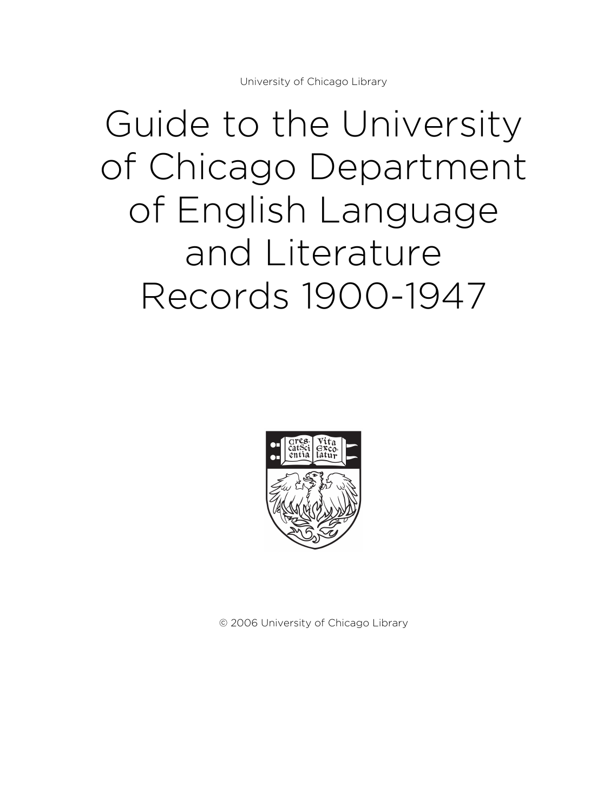# Guide to the University of Chicago Department of English Language and Literature Records 1900-1947



© 2006 University of Chicago Library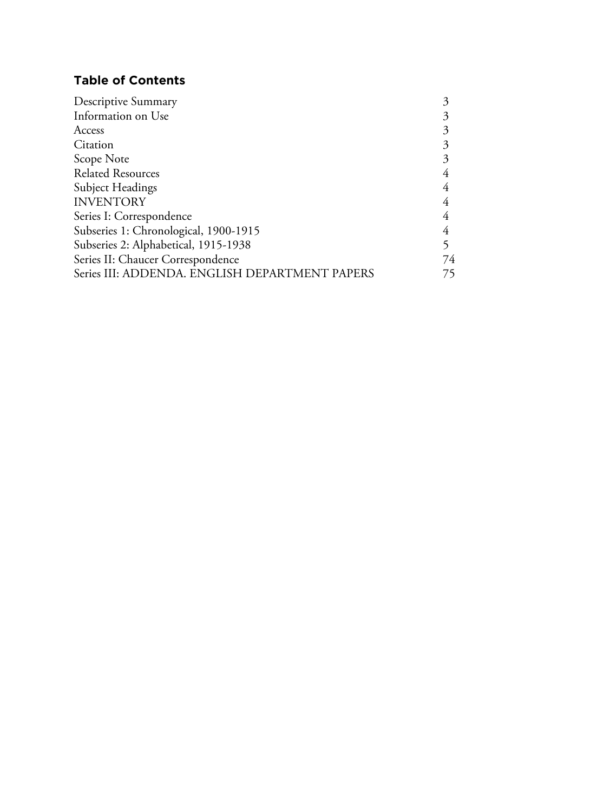# **Table of Contents**

| Information on Use                             |  |
|------------------------------------------------|--|
| Access                                         |  |
| Citation                                       |  |
| Scope Note                                     |  |
| <b>Related Resources</b>                       |  |
| Subject Headings                               |  |
| <b>INVENTORY</b>                               |  |
| Series I: Correspondence                       |  |
| Subseries 1: Chronological, 1900-1915          |  |
| Subseries 2: Alphabetical, 1915-1938           |  |
| Series II: Chaucer Correspondence<br>74        |  |
| Series III: ADDENDA. ENGLISH DEPARTMENT PAPERS |  |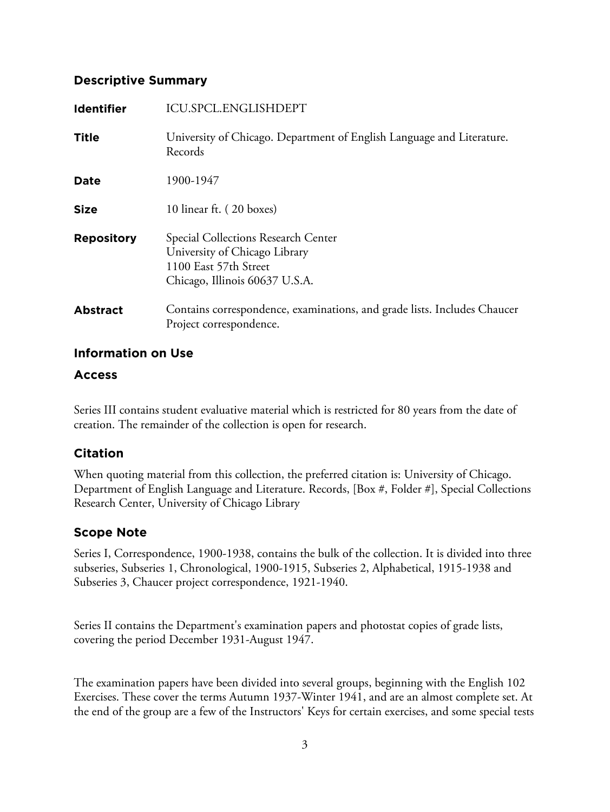# **Descriptive Summary**

| <b>Identifier</b> | ICU.SPCL.ENGLISHDEPT                                                                                                            |
|-------------------|---------------------------------------------------------------------------------------------------------------------------------|
| <b>Title</b>      | University of Chicago. Department of English Language and Literature.<br>Records                                                |
| Date              | 1900-1947                                                                                                                       |
| <b>Size</b>       | 10 linear ft. (20 boxes)                                                                                                        |
| <b>Repository</b> | Special Collections Research Center<br>University of Chicago Library<br>1100 East 57th Street<br>Chicago, Illinois 60637 U.S.A. |
| <b>Abstract</b>   | Contains correspondence, examinations, and grade lists. Includes Chaucer<br>Project correspondence.                             |

# **Information on Use**

## **Access**

Series III contains student evaluative material which is restricted for 80 years from the date of creation. The remainder of the collection is open for research.

# **Citation**

When quoting material from this collection, the preferred citation is: University of Chicago. Department of English Language and Literature. Records, [Box #, Folder #], Special Collections Research Center, University of Chicago Library

# **Scope Note**

Series I, Correspondence, 1900-1938, contains the bulk of the collection. It is divided into three subseries, Subseries 1, Chronological, 1900-1915, Subseries 2, Alphabetical, 1915-1938 and Subseries 3, Chaucer project correspondence, 1921-1940.

Series II contains the Department's examination papers and photostat copies of grade lists, covering the period December 1931-August 1947.

The examination papers have been divided into several groups, beginning with the English 102 Exercises. These cover the terms Autumn 1937-Winter 1941, and are an almost complete set. At the end of the group are a few of the Instructors' Keys for certain exercises, and some special tests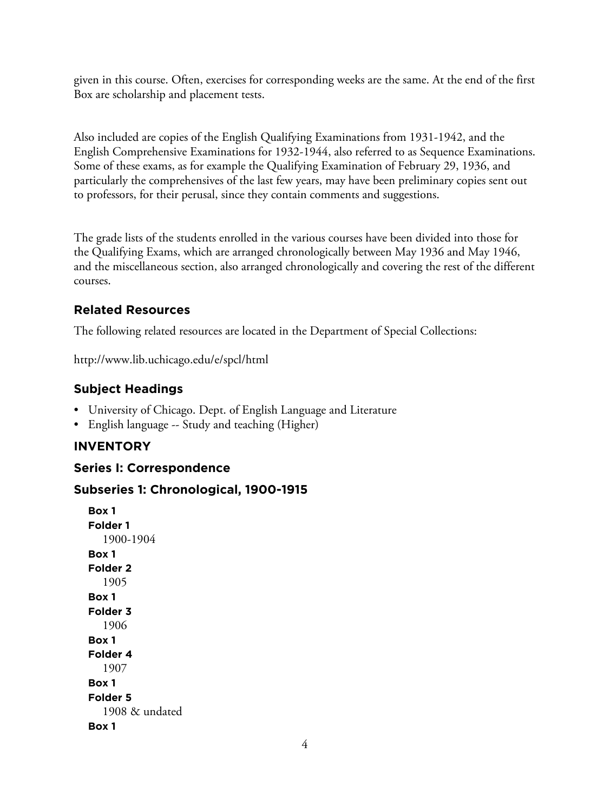given in this course. Often, exercises for corresponding weeks are the same. At the end of the first Box are scholarship and placement tests.

Also included are copies of the English Qualifying Examinations from 1931-1942, and the English Comprehensive Examinations for 1932-1944, also referred to as Sequence Examinations. Some of these exams, as for example the Qualifying Examination of February 29, 1936, and particularly the comprehensives of the last few years, may have been preliminary copies sent out to professors, for their perusal, since they contain comments and suggestions.

The grade lists of the students enrolled in the various courses have been divided into those for the Qualifying Exams, which are arranged chronologically between May 1936 and May 1946, and the miscellaneous section, also arranged chronologically and covering the rest of the different courses.

# **Related Resources**

The following related resources are located in the Department of Special Collections:

http://www.lib.uchicago.edu/e/spcl/html

# **Subject Headings**

- University of Chicago. Dept. of English Language and Literature
- English language -- Study and teaching (Higher)

## **INVENTORY**

## **Series I: Correspondence**

## **Subseries 1: Chronological, 1900-1915**

**Box 1 Folder 1** 1900-1904 **Box 1 Folder 2** 1905 **Box 1 Folder 3** 1906 **Box 1 Folder 4** 1907 **Box 1 Folder 5** 1908 & undated **Box 1**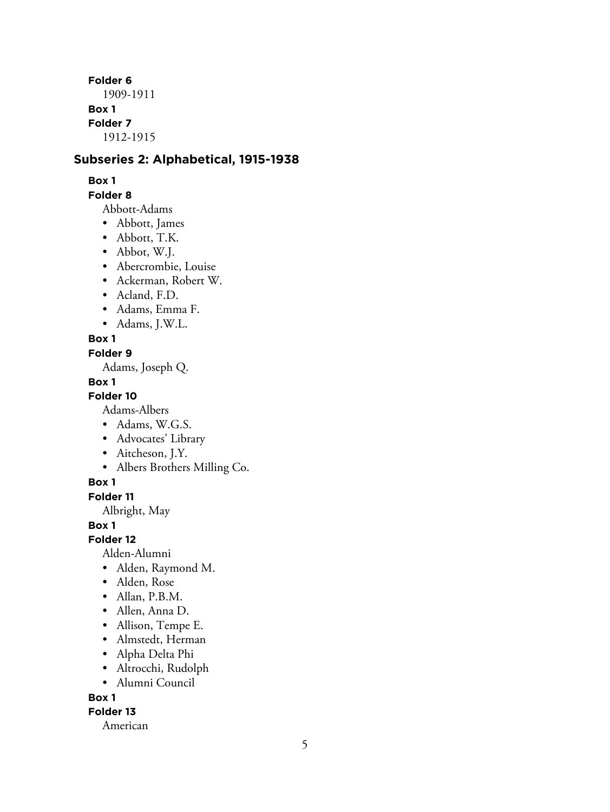**Folder 6** 1909-1911 **Box 1 Folder 7** 1912-1915

## **Subseries 2: Alphabetical, 1915-1938**

#### **Box 1**

#### **Folder 8**

Abbott-Adams

- Abbott, James
- Abbott, T.K.
- Abbot, W.J.
- Abercrombie, Louise
- Ackerman, Robert W.
- Acland, F.D.
- Adams, Emma F.
- Adams, J.W.L.

#### **Box 1**

#### **Folder 9**

Adams, Joseph Q.

#### **Box 1**

**Folder 10**

Adams-Albers

- Adams, W.G.S.
- Advocates' Library
- Aitcheson, J.Y.
- Albers Brothers Milling Co.

#### **Box 1**

**Folder 11**

Albright, May

**Box 1**

**Folder 12**

Alden-Alumni

- Alden, Raymond M.
- Alden, Rose
- Allan, P.B.M.
- Allen, Anna D.
- Allison, Tempe E.
- Almstedt, Herman
- Alpha Delta Phi
- Altrocchi, Rudolph
- Alumni Council

**Box 1**

#### **Folder 13**

American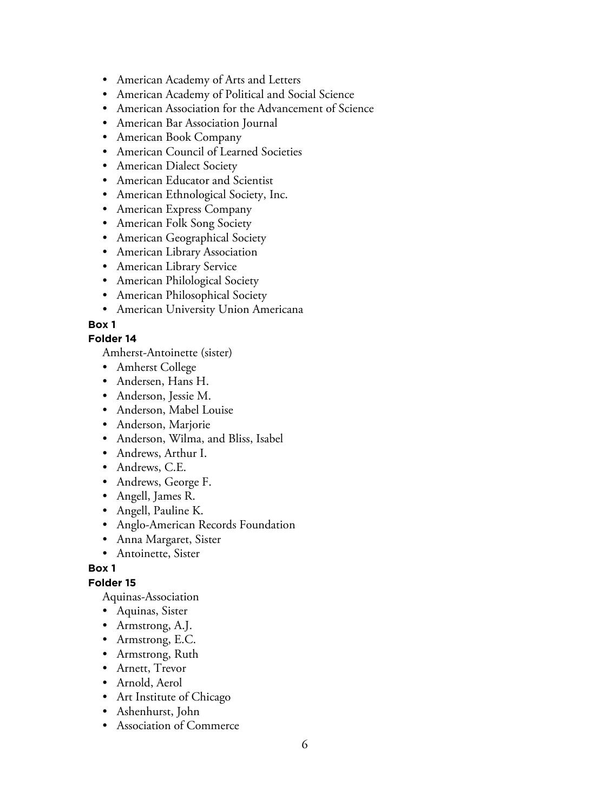- American Academy of Arts and Letters
- American Academy of Political and Social Science
- American Association for the Advancement of Science
- American Bar Association Journal
- American Book Company
- American Council of Learned Societies
- American Dialect Society
- American Educator and Scientist
- American Ethnological Society, Inc.
- American Express Company
- American Folk Song Society
- American Geographical Society
- American Library Association
- American Library Service
- American Philological Society
- American Philosophical Society
- American University Union Americana

#### **Folder 14**

Amherst-Antoinette (sister)

- Amherst College
- Andersen, Hans H.
- Anderson, Jessie M.
- Anderson, Mabel Louise
- Anderson, Marjorie
- Anderson, Wilma, and Bliss, Isabel
- Andrews, Arthur I.
- Andrews, C.E.
- Andrews, George F.
- Angell, James R.
- Angell, Pauline K.
- Anglo-American Records Foundation
- Anna Margaret, Sister
- Antoinette, Sister

#### **Box 1**

#### **Folder 15**

Aquinas-Association

- Aquinas, Sister
- Armstrong, A.J.
- Armstrong, E.C.
- Armstrong, Ruth
- Arnett, Trevor
- Arnold, Aerol
- Art Institute of Chicago
- Ashenhurst, John
- Association of Commerce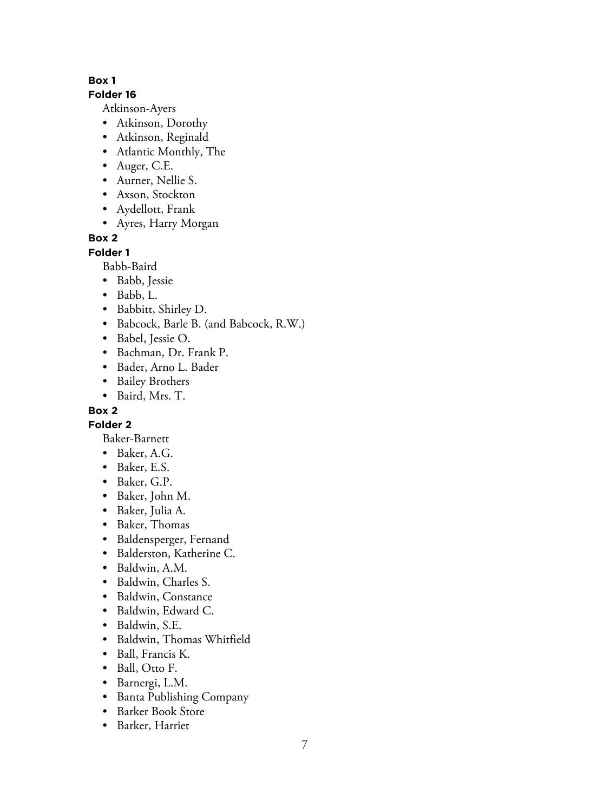#### **Folder 16**

Atkinson-Ayers

- Atkinson, Dorothy
- Atkinson, Reginald
- Atlantic Monthly, The
- Auger, C.E.
- Aurner, Nellie S.
- Axson, Stockton
- Aydellott, Frank
- Ayres, Harry Morgan

## **Box 2**

## **Folder 1**

Babb-Baird

- Babb, Jessie
- Babb, L.
- Babbitt, Shirley D.
- Babcock, Barle B. (and Babcock, R.W.)
- Babel, Jessie O.
- Bachman, Dr. Frank P.
- Bader, Arno L. Bader
- Bailey Brothers
- Baird, Mrs. T.

## **Box 2**

**Folder 2**

Baker-Barnett

- Baker, A.G.
- Baker, E.S.
- Baker, G.P.
- Baker, John M.
- Baker, Julia A.
- Baker, Thomas
- Baldensperger, Fernand
- Balderston, Katherine C.
- Baldwin, A.M.
- Baldwin, Charles S.
- Baldwin, Constance
- Baldwin, Edward C.
- Baldwin, S.E.
- Baldwin, Thomas Whitfield
- Ball, Francis K.
- Ball, Otto F.
- Barnergi, L.M.
- Banta Publishing Company
- Barker Book Store
- Barker, Harriet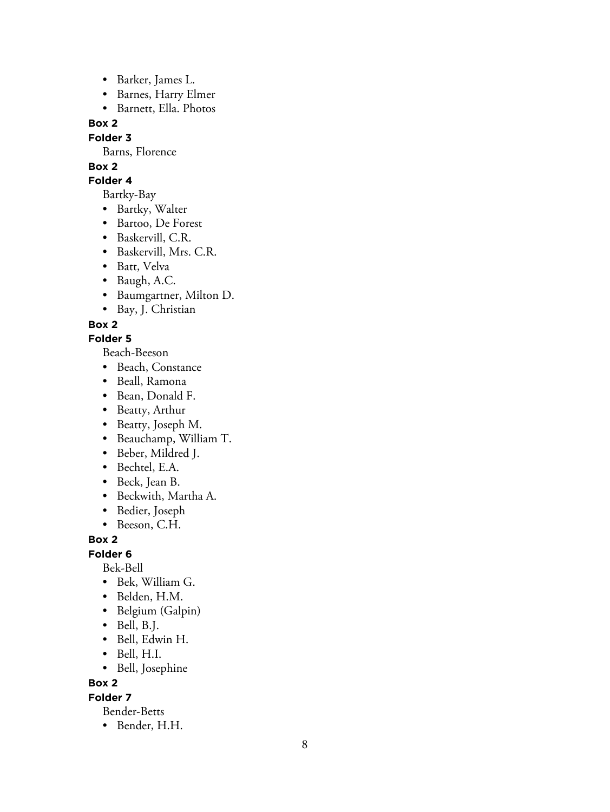- Barker, James L.
- Barnes, Harry Elmer
- Barnett, Ella. Photos

**Folder 3**

Barns, Florence

# **Box 2**

**Folder 4**

Bartky-Bay

- Bartky, Walter
- Bartoo, De Forest
- Baskervill, C.R.
- Baskervill, Mrs. C.R.
- Batt, Velva
- Baugh, A.C.
- Baumgartner, Milton D.
- Bay, J. Christian

**Box 2**

# **Folder 5**

Beach-Beeson

- Beach, Constance
- Beall, Ramona
- Bean, Donald F.
- Beatty, Arthur
- Beatty, Joseph M.
- Beauchamp, William T.
- Beber, Mildred J.
- Bechtel, E.A.
- Beck, Jean B.
- Beckwith, Martha A.
- Bedier, Joseph
- Beeson, C.H.

**Box 2**

**Folder 6**

Bek-Bell

- Bek, William G.
- Belden, H.M.
- Belgium (Galpin)
- Bell, B.J.
- Bell, Edwin H.
- Bell, H.I.
- Bell, Josephine

**Box 2**

**Folder 7**

Bender-Betts

• Bender, H.H.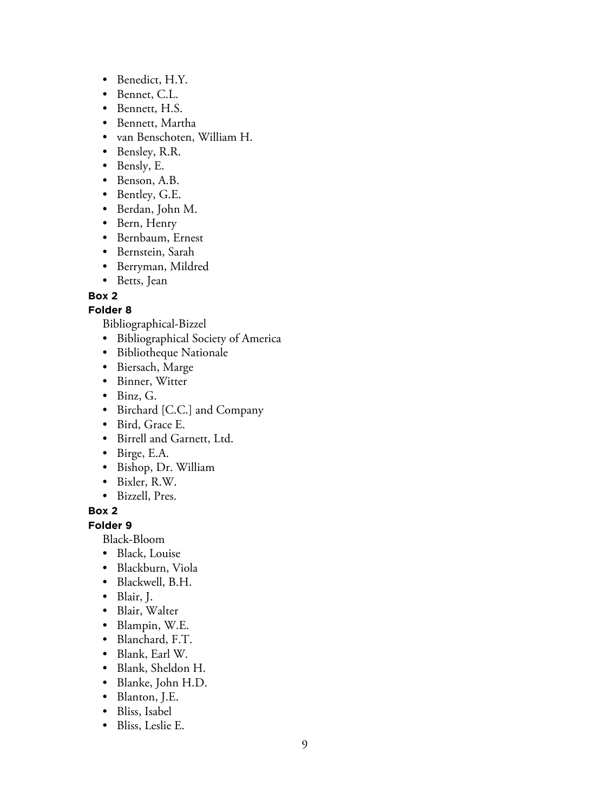- Benedict, H.Y.
- Bennet, C.L.
- Bennett, H.S.
- Bennett, Martha
- van Benschoten, William H.
- Bensley, R.R.
- Bensly, E.
- Benson, A.B.
- Bentley, G.E.
- Berdan, John M.
- Bern, Henry
- Bernbaum, Ernest
- Bernstein, Sarah
- Berryman, Mildred
- Betts, Jean

## **Folder 8**

Bibliographical-Bizzel

- Bibliographical Society of America
- Bibliotheque Nationale
- Biersach, Marge
- Binner, Witter
- Binz, G.
- Birchard [C.C.] and Company
- Bird, Grace E.
- Birrell and Garnett, Ltd.
- Birge, E.A.
- Bishop, Dr. William
- Bixler, R.W.
- Bizzell, Pres.

## **Box 2**

**Folder 9**

Black-Bloom

- Black, Louise
- Blackburn, Viola
- Blackwell, B.H.
- Blair, J.
- Blair, Walter
- Blampin, W.E.
- Blanchard, F.T.
- Blank, Earl W.
- Blank, Sheldon H.
- Blanke, John H.D.
- Blanton, J.E.
- Bliss, Isabel
- Bliss, Leslie E.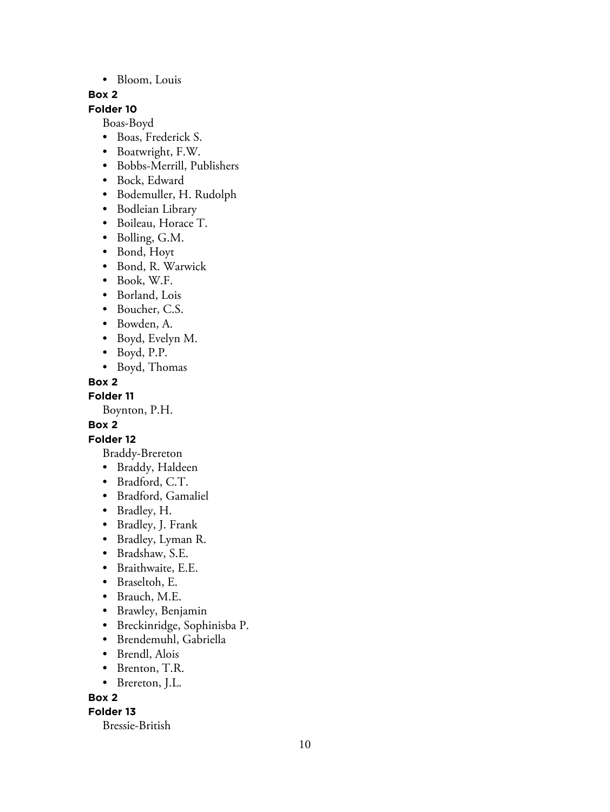#### • Bloom, Louis

#### **Box 2**

## **Folder 10**

Boas-Boyd

- Boas, Frederick S.
- Boatwright, F.W.
- Bobbs-Merrill, Publishers
- Bock, Edward
- Bodemuller, H. Rudolph
- Bodleian Library
- Boileau, Horace T.
- Bolling, G.M.
- Bond, Hoyt
- Bond, R. Warwick
- Book, W.F.
- Borland, Lois
- Boucher, C.S.
- Bowden, A.
- Boyd, Evelyn M.
- Boyd, P.P.
- Boyd, Thomas

#### **Box 2**

**Folder 11**

Boynton, P.H.

#### **Box 2**

## **Folder 12**

- Braddy-Brereton
- Braddy, Haldeen
- Bradford, C.T.
- Bradford, Gamaliel
- Bradley, H.
- Bradley, J. Frank
- Bradley, Lyman R.
- Bradshaw, S.E.
- Braithwaite, E.E.
- Braseltoh, E.
- Brauch, M.E.
- Brawley, Benjamin
- Breckinridge, Sophinisba P.
- Brendemuhl, Gabriella
- Brendl, Alois
- Brenton, T.R.
- Brereton, J.L.

#### **Box 2**

#### **Folder 13**

Bressie-British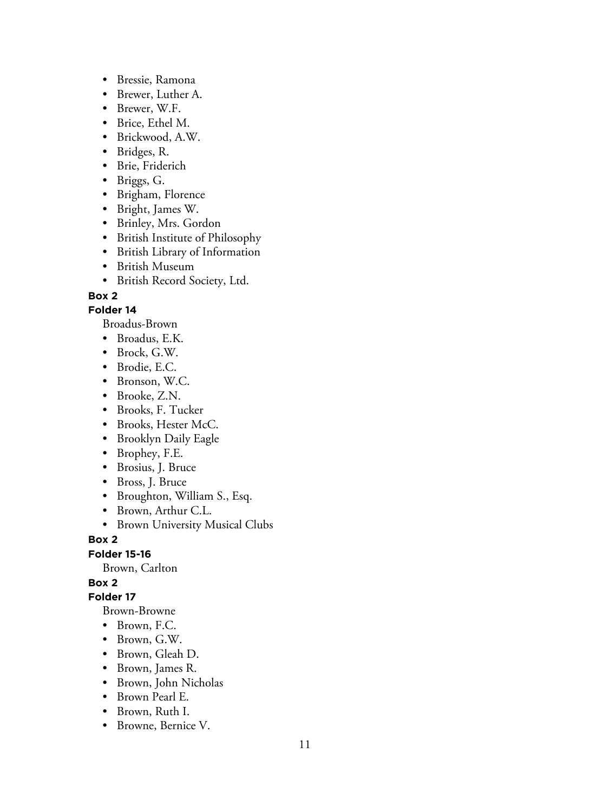- Bressie, Ramona
- Brewer, Luther A.
- Brewer, W.F.
- Brice, Ethel M.
- Brickwood, A.W.
- Bridges, R.
- Brie, Friderich
- Briggs, G.
- Brigham, Florence
- Bright, James W.
- Brinley, Mrs. Gordon
- British Institute of Philosophy
- British Library of Information
- British Museum
- British Record Society, Ltd.

#### **Folder 14**

Broadus-Brown

- Broadus, E.K.
- Brock, G.W.
- Brodie, E.C.
- Bronson, W.C.
- Brooke, Z.N.
- Brooks, F. Tucker
- Brooks, Hester McC.
- Brooklyn Daily Eagle
- Brophey, F.E.
- Brosius, J. Bruce
- Bross, J. Bruce
- Broughton, William S., Esq.
- Brown, Arthur C.L.
- Brown University Musical Clubs

**Box 2**

**Folder 15-16**

Brown, Carlton

## **Box 2**

**Folder 17**

Brown-Browne

- Brown, F.C.
- Brown, G.W.
- Brown, Gleah D.
- Brown, James R.
- Brown, John Nicholas
- Brown Pearl E.
- Brown, Ruth I.
- Browne, Bernice V.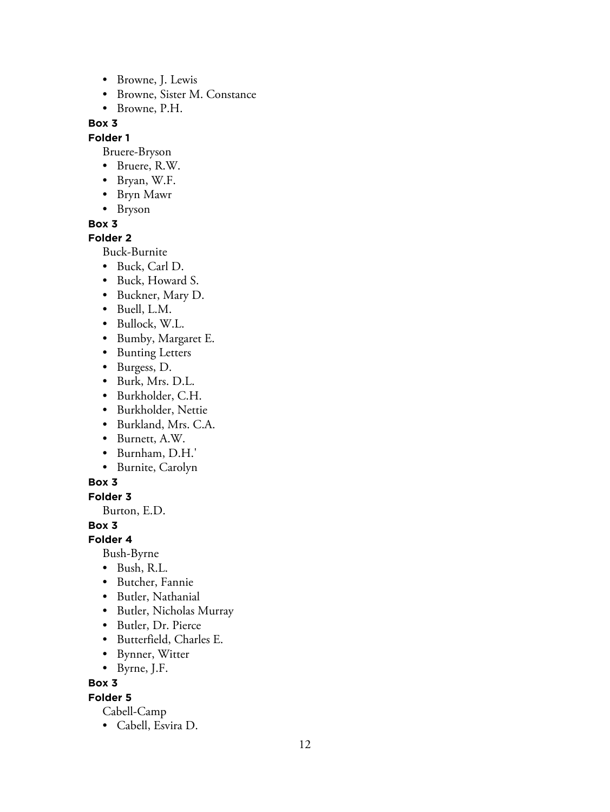- Browne, J. Lewis
- Browne, Sister M. Constance
- Browne, P.H.

## **Folder 1**

Bruere-Bryson

- Bruere, R.W.
- Bryan, W.F.
- Bryn Mawr
- Bryson

## **Box 3**

## **Folder 2**

Buck-Burnite

- Buck, Carl D.
- Buck, Howard S.
- Buckner, Mary D.
- Buell, L.M.
- Bullock, W.L.
- Bumby, Margaret E.
- Bunting Letters
- Burgess, D.
- Burk, Mrs. D.L.
- Burkholder, C.H.
- Burkholder, Nettie
- Burkland, Mrs. C.A.
- Burnett, A.W.
- Burnham, D.H.'
- Burnite, Carolyn

# **Box 3**

**Folder 3**

Burton, E.D.

**Box 3**

**Folder 4**

Bush-Byrne

- Bush, R.L.
- Butcher, Fannie
- Butler, Nathanial
- Butler, Nicholas Murray
- Butler, Dr. Pierce
- Butterfield, Charles E.
- Bynner, Witter
- Byrne, J.F.

**Box 3**

# **Folder 5**

- Cabell-Camp
- Cabell, Esvira D.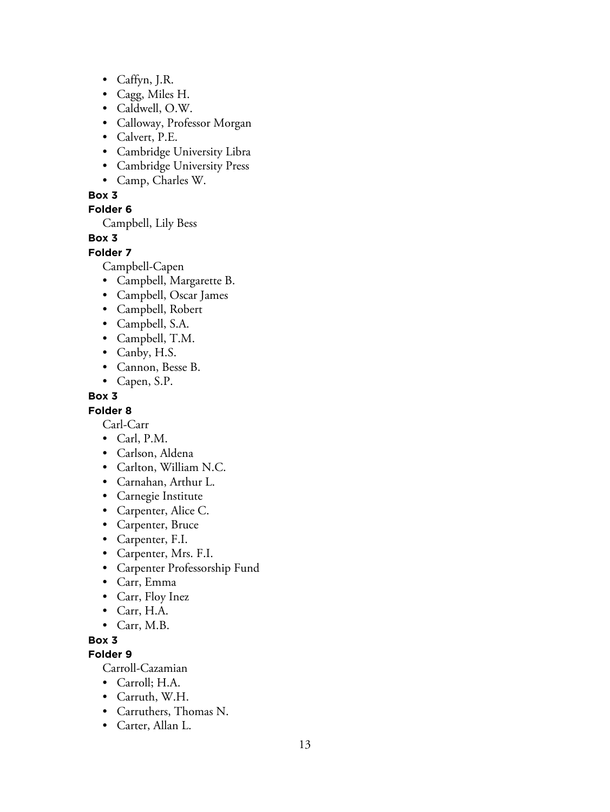- Caffyn, J.R.
- Cagg, Miles H.
- Caldwell, O.W.
- Calloway, Professor Morgan
- Calvert, P.E.
- Cambridge University Libra
- Cambridge University Press
- Camp, Charles W.

**Folder 6**

Campbell, Lily Bess

**Box 3**

#### **Folder 7**

Campbell-Capen

- Campbell, Margarette B.
- Campbell, Oscar James
- Campbell, Robert
- Campbell, S.A.
- Campbell, T.M.
- Canby, H.S.
- Cannon, Besse B.
- Capen, S.P.

## **Box 3**

## **Folder 8**

Carl-Carr

- Carl, P.M.
- Carlson, Aldena
- Carlton, William N.C.
- Carnahan, Arthur L.
- Carnegie Institute
- Carpenter, Alice C.
- Carpenter, Bruce
- Carpenter, F.I.
- Carpenter, Mrs. F.I.
- Carpenter Professorship Fund
- Carr, Emma
- Carr, Floy Inez
- Carr, H.A.
- Carr, M.B.

## **Box 3**

**Folder 9**

Carroll-Cazamian

- Carroll; H.A.
- Carruth, W.H.
- Carruthers, Thomas N.
- Carter, Allan L.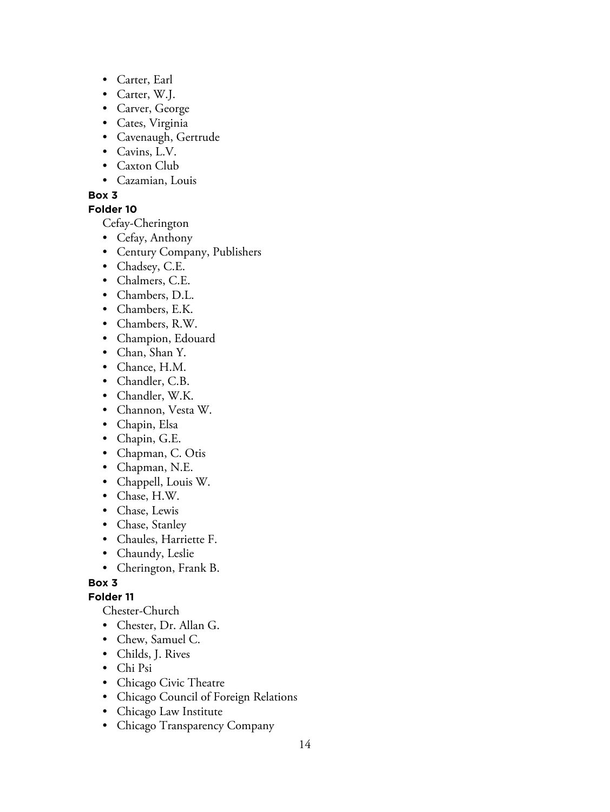- Carter, Earl
- Carter, W.J.
- Carver, George
- Cates, Virginia
- Cavenaugh, Gertrude
- Cavins, L.V.
- Caxton Club
- Cazamian, Louis

## **Folder 10**

Cefay-Cherington

- Cefay, Anthony
- Century Company, Publishers
- Chadsey, C.E.
- Chalmers, C.E.
- Chambers, D.L.
- Chambers, E.K.
- Chambers, R.W.
- Champion, Edouard
- Chan, Shan Y.
- Chance, H.M.
- Chandler, C.B.
- Chandler, W.K.
- Channon, Vesta W.
- Chapin, Elsa
- Chapin, G.E.
- Chapman, C. Otis
- Chapman, N.E.
- Chappell, Louis W.
- Chase, H.W.
- Chase, Lewis
- Chase, Stanley
- Chaules, Harriette F.
- Chaundy, Leslie
- Cherington, Frank B.

# **Box 3**

# **Folder 11**

Chester-Church

- Chester, Dr. Allan G.
- Chew, Samuel C.
- Childs, J. Rives
- Chi Psi
- Chicago Civic Theatre
- Chicago Council of Foreign Relations
- Chicago Law Institute
- Chicago Transparency Company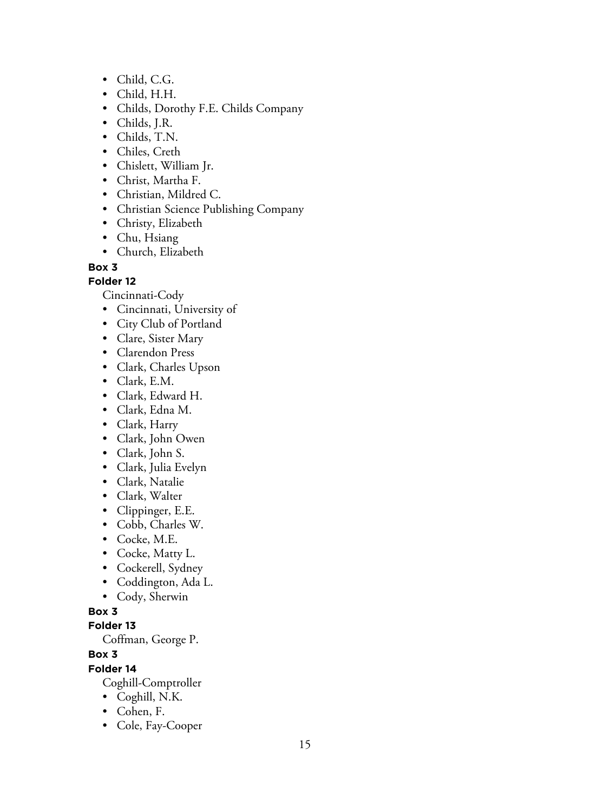- Child, C.G.
- Child, H.H.
- Childs, Dorothy F.E. Childs Company
- Childs, J.R.
- Childs, T.N.
- Chiles, Creth
- Chislett, William Jr.
- Christ, Martha F.
- Christian, Mildred C.
- Christian Science Publishing Company
- Christy, Elizabeth
- Chu, Hsiang
- Church, Elizabeth

**Folder 12**

Cincinnati-Cody

- Cincinnati, University of
- City Club of Portland
- Clare, Sister Mary
- Clarendon Press
- Clark, Charles Upson
- Clark, E.M.
- Clark, Edward H.
- Clark, Edna M.
- Clark, Harry
- Clark, John Owen
- Clark, John S.
- Clark, Julia Evelyn
- Clark, Natalie
- Clark, Walter
- Clippinger, E.E.
- Cobb, Charles W.
- Cocke, M.E.
- Cocke, Matty L.
- Cockerell, Sydney
- Coddington, Ada L.
- Cody, Sherwin

# **Box 3**

## **Folder 13**

Coffman, George P.

# **Box 3**

**Folder 14**

Coghill-Comptroller

- Coghill, N.K.
- Cohen, F.
- Cole, Fay-Cooper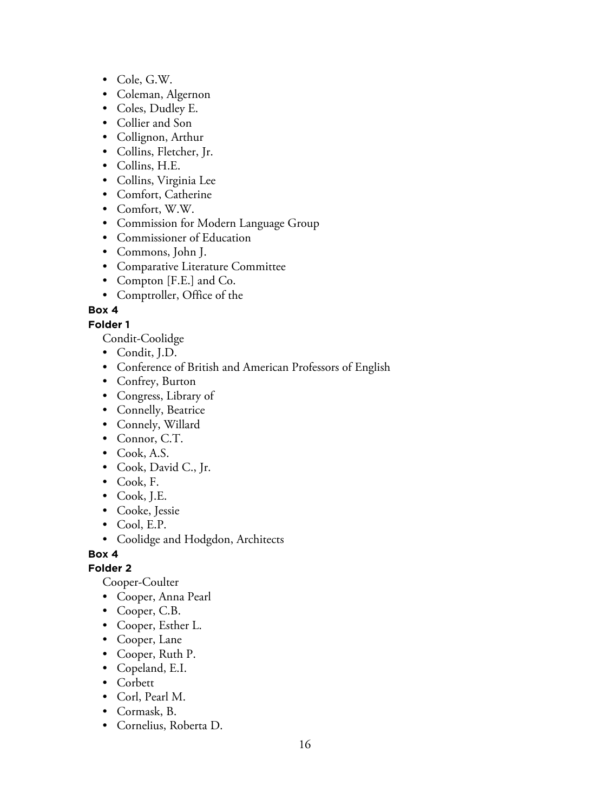- Cole, G.W.
- Coleman, Algernon
- Coles, Dudley E.
- Collier and Son
- Collignon, Arthur
- Collins, Fletcher, Jr.
- Collins, H.E.
- Collins, Virginia Lee
- Comfort, Catherine
- Comfort, W.W.
- Commission for Modern Language Group
- Commissioner of Education
- Commons, John J.
- Comparative Literature Committee
- Compton [F.E.] and Co.
- Comptroller, Office of the

## **Folder 1**

Condit-Coolidge

- Condit, J.D.
- Conference of British and American Professors of English
- Confrey, Burton
- Congress, Library of
- Connelly, Beatrice
- Connely, Willard
- Connor, C.T.
- Cook, A.S.
- Cook, David C., Jr.
- Cook, F.
- Cook, J.E.
- Cooke, Jessie
- Cool, E.P.
- Coolidge and Hodgdon, Architects

**Box 4**

## **Folder 2**

Cooper-Coulter

- Cooper, Anna Pearl
- Cooper, C.B.
- Cooper, Esther L.
- Cooper, Lane
- Cooper, Ruth P.
- Copeland, E.I.
- Corbett
- Corl, Pearl M.
- Cormask, B.
- Cornelius, Roberta D.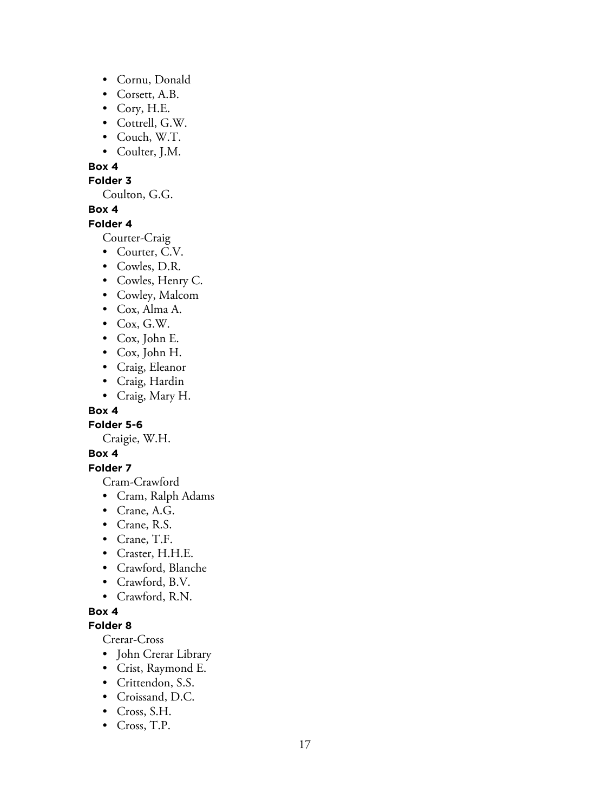- Cornu, Donald
- Corsett, A.B.
- Cory, H.E.
- Cottrell, G.W.
- Couch, W.T.
- Coulter, J.M.

#### **Folder 3**

Coulton, G.G.

## **Box 4**

#### **Folder 4**

Courter-Craig

- Courter, C.V.
- Cowles, D.R.
- Cowles, Henry C.
- Cowley, Malcom
- Cox, Alma A.
- Cox, G.W.
- Cox, John E.
- Cox, John H.
- Craig, Eleanor
- Craig, Hardin
- Craig, Mary H.

#### **Box 4**

**Folder 5-6**

Craigie, W.H.

## **Box 4**

**Folder 7**

Cram-Crawford

- Cram, Ralph Adams
- Crane, A.G.
- Crane, R.S.
- Crane, T.F.
- Craster, H.H.E.
- Crawford, Blanche
- Crawford, B.V.
- Crawford, R.N.

#### **Box 4**

#### **Folder 8**

Crerar-Cross

- John Crerar Library
- Crist, Raymond E.
- Crittendon, S.S.
- Croissand, D.C.
- Cross, S.H.
- Cross, T.P.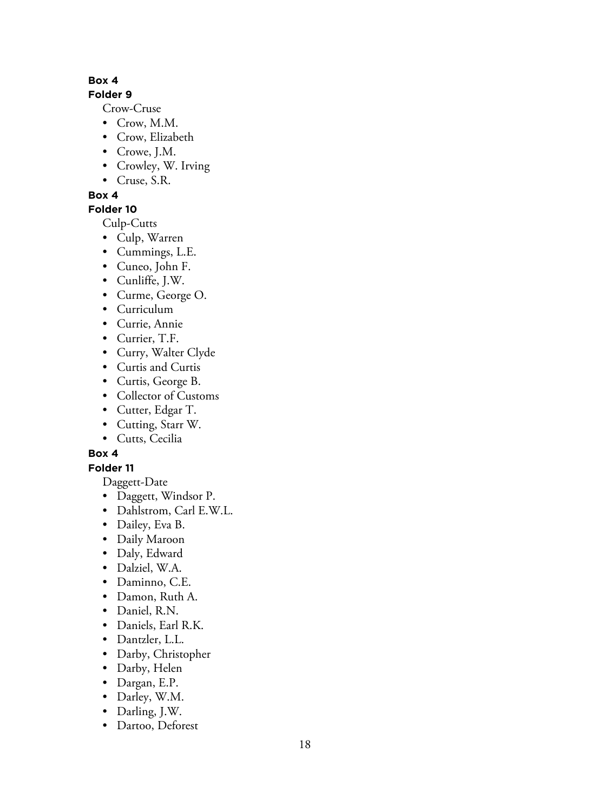# **Folder 9**

Crow-Cruse

- Crow, M.M.
- Crow, Elizabeth
- Crowe, J.M.
- Crowley, W. Irving
- Cruse, S.R.

**Box 4**

# **Folder 10**

Culp-Cutts

- Culp, Warren
- Cummings, L.E.
- Cuneo, John F.
- Cunliffe, J.W.
- Curme, George O.
- Curriculum
- Currie, Annie
- Currier, T.F.
- Curry, Walter Clyde
- Curtis and Curtis
- Curtis, George B.
- Collector of Customs
- Cutter, Edgar T.
- Cutting, Starr W.
- Cutts, Cecilia

# **Box 4**

**Folder 11**

Daggett-Date

- Daggett, Windsor P.
- Dahlstrom, Carl E.W.L.
- Dailey, Eva B.
- Daily Maroon
- Daly, Edward
- Dalziel, W.A.
- Daminno, C.E.
- Damon, Ruth A.
- Daniel, R.N.
- Daniels, Earl R.K.
- Dantzler, L.L.
- Darby, Christopher
- Darby, Helen
- Dargan, E.P.
- Darley, W.M.
- Darling, J.W.
- Dartoo, Deforest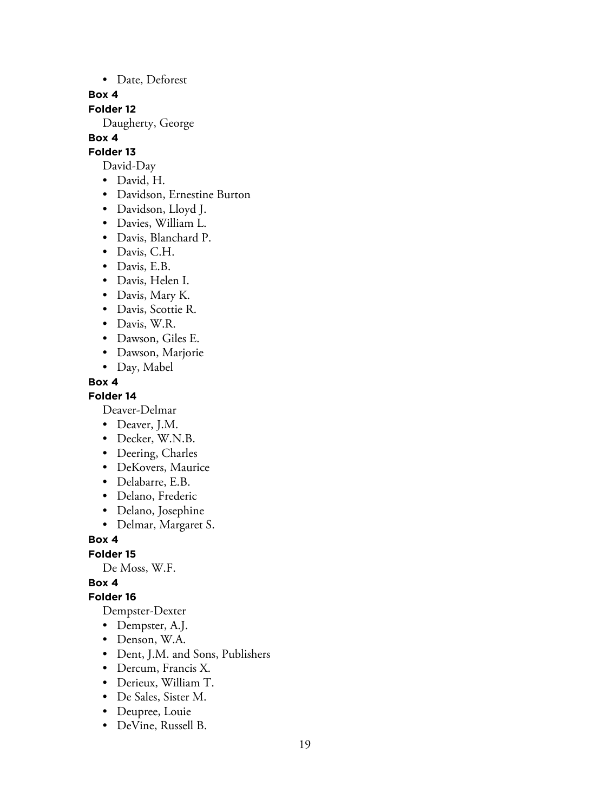• Date, Deforest

#### **Box 4**

**Folder 12**

Daugherty, George

## **Box 4**

## **Folder 13**

- David-Day
- David, H.
- Davidson, Ernestine Burton
- Davidson, Lloyd J.
- Davies, William L.
- Davis, Blanchard P.
- Davis, C.H.
- Davis, E.B.
- Davis, Helen I.
- Davis, Mary K.
- Davis, Scottie R.
- Davis, W.R.
- Dawson, Giles E.
- Dawson, Marjorie
- Day, Mabel

## **Box 4**

**Folder 14**

Deaver-Delmar

- Deaver, J.M.
- Decker, W.N.B.
- Deering, Charles
- DeKovers, Maurice
- Delabarre, E.B.
- Delano, Frederic
- Delano, Josephine
- Delmar, Margaret S.

**Box 4**

**Folder 15**

De Moss, W.F.

## **Box 4**

#### **Folder 16**

Dempster-Dexter

- Dempster, A.J.
- Denson, W.A.
- Dent, J.M. and Sons, Publishers
- Dercum, Francis X.
- Derieux, William T.
- De Sales, Sister M.
- Deupree, Louie
- DeVine, Russell B.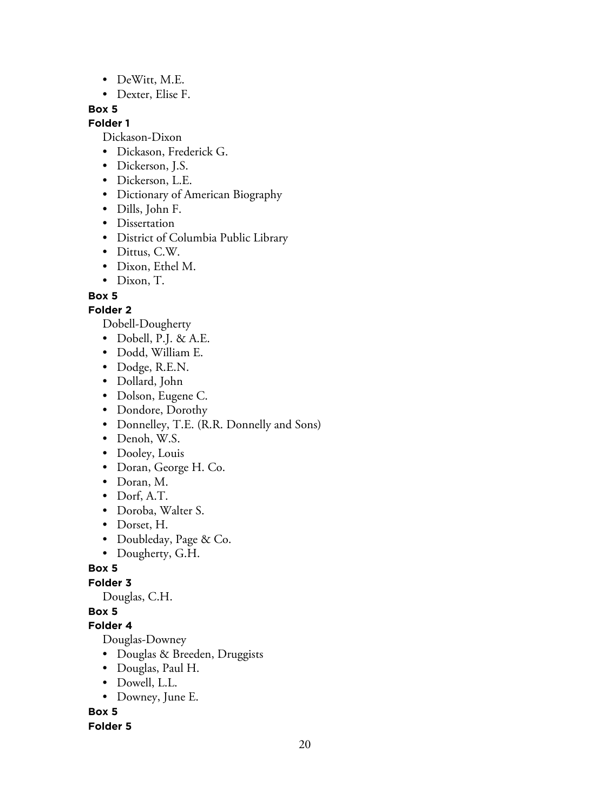- DeWitt, M.E.
- Dexter, Elise F.

#### **Folder 1**

Dickason-Dixon

- Dickason, Frederick G.
- Dickerson, J.S.
- Dickerson, L.E.
- Dictionary of American Biography
- Dills, John F.
- Dissertation
- District of Columbia Public Library
- Dittus, C.W.
- Dixon, Ethel M.
- Dixon, T.

## **Box 5**

## **Folder 2**

Dobell-Dougherty

- Dobell, P.J. & A.E.
- Dodd, William E.
- Dodge, R.E.N.
- Dollard, John
- Dolson, Eugene C.
- Dondore, Dorothy
- Donnelley, T.E. (R.R. Donnelly and Sons)
- Denoh, W.S.
- Dooley, Louis
- Doran, George H. Co.
- Doran, M.
- Dorf, A.T.
- Doroba, Walter S.
- Dorset, H.
- Doubleday, Page & Co.
- Dougherty, G.H.

## **Box 5**

**Folder 3**

Douglas, C.H.

# **Box 5**

## **Folder 4**

Douglas-Downey

- Douglas & Breeden, Druggists
- Douglas, Paul H.
- Dowell, L.L.
- Downey, June E.

## **Box 5**

## **Folder 5**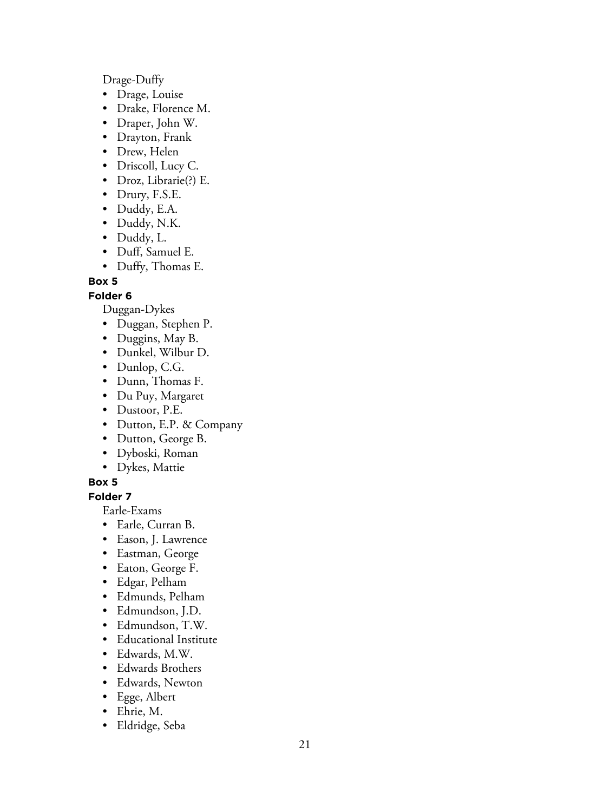Drage-Duffy

- Drage, Louise
- Drake, Florence M.
- Draper, John W.
- Drayton, Frank
- Drew, Helen
- Driscoll, Lucy C.
- Droz, Librarie(?) E.
- Drury, F.S.E.
- Duddy, E.A.
- Duddy, N.K.
- Duddy, L.
- Duff, Samuel E.
- Duffy, Thomas E.

## **Box 5**

## **Folder 6**

Duggan-Dykes

- Duggan, Stephen P.
- Duggins, May B.
- Dunkel, Wilbur D.
- Dunlop, C.G.
- Dunn, Thomas F.
- Du Puy, Margaret
- Dustoor, P.E.
- Dutton, E.P. & Company
- Dutton, George B.
- Dyboski, Roman
- Dykes, Mattie

## **Box 5**

**Folder 7**

Earle-Exams

- Earle, Curran B.
- Eason, J. Lawrence
- Eastman, George
- Eaton, George F.
- Edgar, Pelham
- Edmunds, Pelham
- Edmundson, J.D.
- Edmundson, T.W.
- Educational Institute
- Edwards, M.W.
- Edwards Brothers
- Edwards, Newton
- Egge, Albert
- Ehrie, M.
- Eldridge, Seba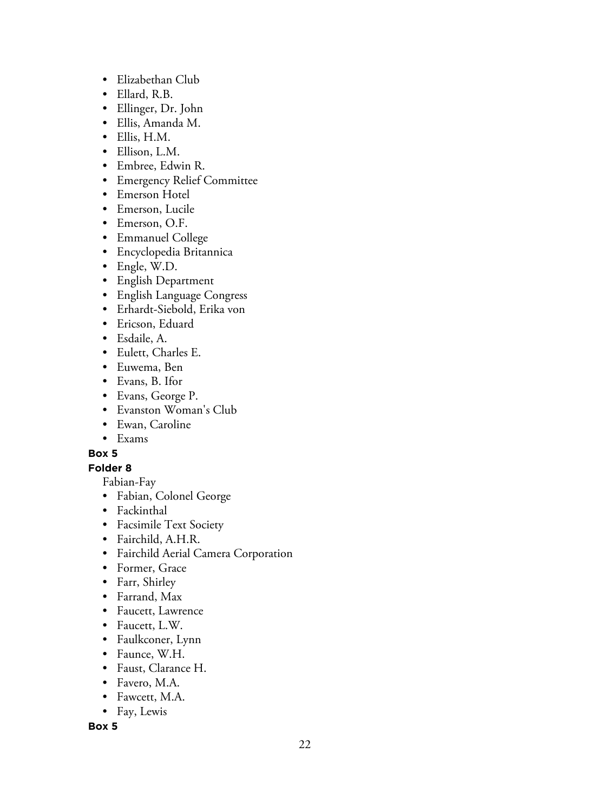- Elizabethan Club
- Ellard, R.B.
- Ellinger, Dr. John
- Ellis, Amanda M.
- Ellis, H.M.
- Ellison, L.M.
- Embree, Edwin R.
- Emergency Relief Committee
- Emerson Hotel
- Emerson, Lucile
- Emerson, O.F.
- Emmanuel College
- Encyclopedia Britannica
- Engle, W.D.
- English Department
- English Language Congress
- Erhardt-Siebold, Erika von
- Ericson, Eduard
- Esdaile, A.
- Eulett, Charles E.
- Euwema, Ben
- Evans, B. Ifor
- Evans, George P.
- Evanston Woman's Club
- Ewan, Caroline
- Exams

**Folder 8**

Fabian-Fay

- Fabian, Colonel George
- Fackinthal
- Facsimile Text Society
- Fairchild, A.H.R.
- Fairchild Aerial Camera Corporation
- Former, Grace
- Farr, Shirley
- Farrand, Max
- Faucett, Lawrence
- Faucett, L.W.
- Faulkconer, Lynn
- Faunce, W.H.
- Faust, Clarance H.
- Favero, M.A.
- Fawcett, M.A.
- Fay, Lewis

**Box 5**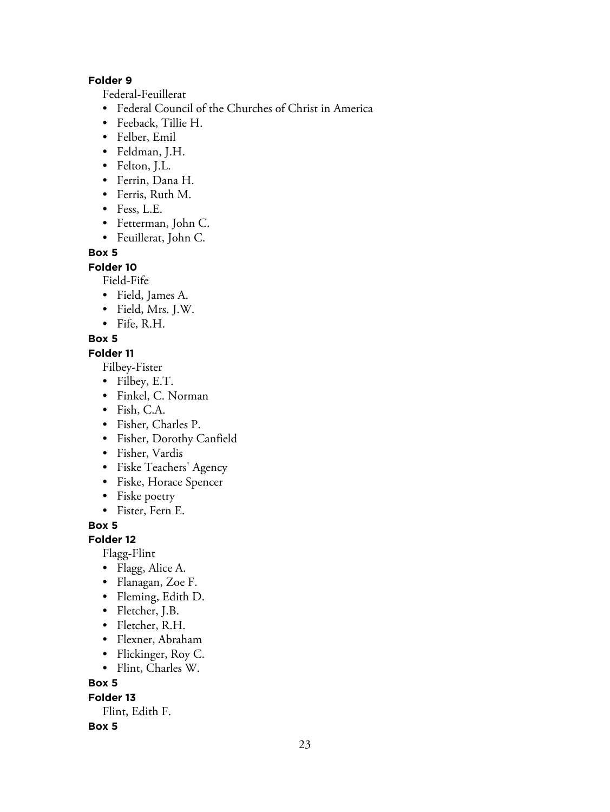## **Folder 9**

Federal-Feuillerat

- Federal Council of the Churches of Christ in America
- Feeback, Tillie H.
- Felber, Emil
- Feldman, J.H.
- Felton, J.L.
- Ferrin, Dana H.
- Ferris, Ruth M.
- Fess, L.E.
- Fetterman, John C.
- Feuillerat, John C.

## **Box 5**

**Folder 10**

Field-Fife

- Field, James A.
- Field, Mrs. J.W.
- Fife, R.H.

## **Box 5**

## **Folder 11**

Filbey-Fister

- Filbey, E.T.
- Finkel, C. Norman
- Fish, C.A.
- Fisher, Charles P.
- Fisher, Dorothy Canfield
- Fisher, Vardis
- Fiske Teachers' Agency
- Fiske, Horace Spencer
- Fiske poetry
- Fister, Fern E.

**Box 5**

## **Folder 12**

Flagg-Flint

- Flagg, Alice A.
- Flanagan, Zoe F.
- Fleming, Edith D.
- Fletcher, J.B.
- Fletcher, R.H.
- Flexner, Abraham
- Flickinger, Roy C.
- Flint, Charles W.

## **Box 5**

**Folder 13**

Flint, Edith F.

## **Box 5**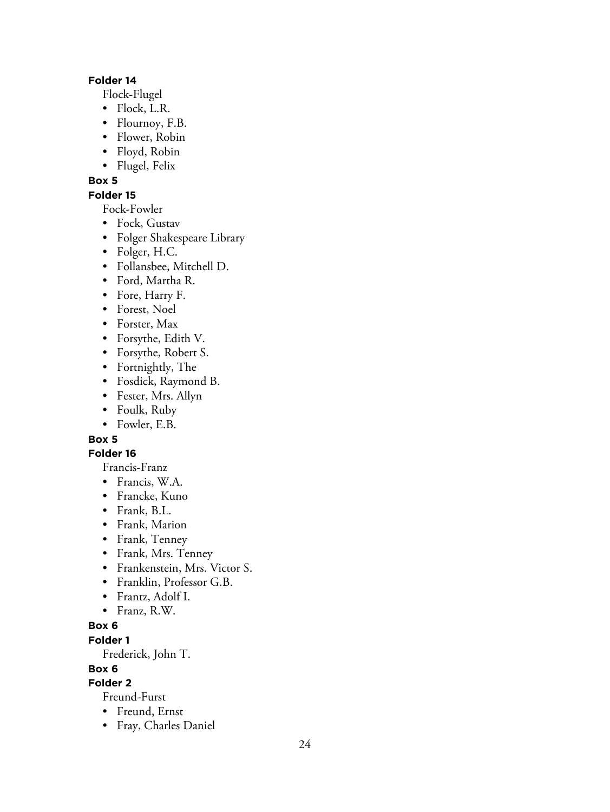#### **Folder 14**

Flock-Flugel

- Flock, L.R.
- Flournoy, F.B.
- Flower, Robin
- Floyd, Robin
- Flugel, Felix

## **Box 5**

## **Folder 15**

Fock-Fowler

- Fock, Gustav
- Folger Shakespeare Library
- Folger, H.C.
- Follansbee, Mitchell D.
- Ford, Martha R.
- Fore, Harry F.
- Forest, Noel
- Forster, Max
- Forsythe, Edith V.
- Forsythe, Robert S.
- Fortnightly, The
- Fosdick, Raymond B.
- Fester, Mrs. Allyn
- Foulk, Ruby
- Fowler, E.B.

# **Box 5**

# **Folder 16**

Francis-Franz

- Francis, W.A.
- Francke, Kuno
- Frank, B.L.
- Frank, Marion
- Frank, Tenney
- Frank, Mrs. Tenney
- Frankenstein, Mrs. Victor S.
- Franklin, Professor G.B.
- Frantz, Adolf I.
- Franz, R.W.

# **Box 6**

**Folder 1**

Frederick, John T.

# **Box 6**

**Folder 2**

Freund-Furst

- Freund, Ernst
- Fray, Charles Daniel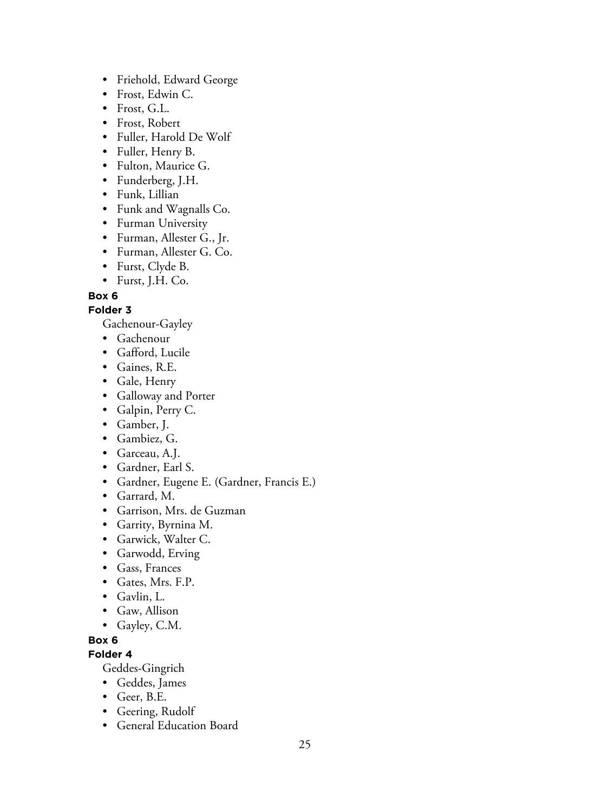- Friehold, Edward George
- Frost, Edwin C.
- Frost, G.L.
- Frost, Robert
- Fuller, Harold De Wolf
- Fuller, Henry B.
- Fulton, Maurice G.
- Funderberg, J.H.
- Funk, Lillian
- Funk and Wagnalls Co.
- Furman University
- Furman, Allester G., Jr.
- Furman, Allester G. Co.
- Furst, Clyde B.
- Furst, J.H. Co.

## **Folder 3**

Gachenour-Gayley

- Gachenour
- Gafford, Lucile
- Gaines, R.E.
- Gale, Henry
- Galloway and Porter
- Galpin, Perry C.
- Gamber, J.
- Gambiez, G.
- Garceau, A.J.
- Gardner, Earl S.
- Gardner, Eugene E. (Gardner, Francis E.)
- Garrard, M.
- Garrison, Mrs. de Guzman
- Garrity, Byrnina M.
- Garwick, Walter C.
- Garwodd, Erving
- Gass, Frances
- Gates, Mrs. F.P.
- Gavlin, L.
- Gaw, Allison
- Gayley, C.M.

## **Box 6**

**Folder 4**

Geddes-Gingrich

- Geddes, James
- Geer, B.E.
- Geering, Rudolf
- General Education Board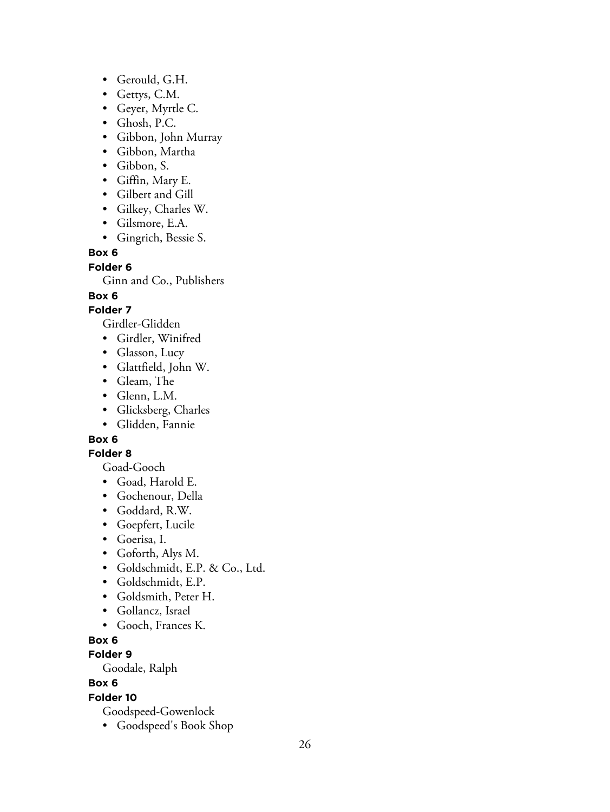- Gerould, G.H.
- Gettys, C.M.
- Geyer, Myrtle C.
- Ghosh, P.C.
- Gibbon, John Murray
- Gibbon, Martha
- Gibbon, S.
- Giffin, Mary E.
- Gilbert and Gill
- Gilkey, Charles W.
- Gilsmore, E.A.
- Gingrich, Bessie S.

**Folder 6**

Ginn and Co., Publishers

## **Box 6**

## **Folder 7**

Girdler-Glidden

- Girdler, Winifred
- Glasson, Lucy
- Glattfield, John W.
- Gleam, The
- Glenn, L.M.
- Glicksberg, Charles
- Glidden, Fannie

# **Box 6**

## **Folder 8**

Goad-Gooch

- Goad, Harold E.
- Gochenour, Della
- Goddard, R.W.
- Goepfert, Lucile
- Goerisa, I.
- Goforth, Alys M.
- Goldschmidt, E.P. & Co., Ltd.
- Goldschmidt, E.P.
- Goldsmith, Peter H.
- Gollancz, Israel
- Gooch, Frances K.

## **Box 6**

# **Folder 9**

Goodale, Ralph

# **Box 6**

# **Folder 10**

Goodspeed-Gowenlock

• Goodspeed's Book Shop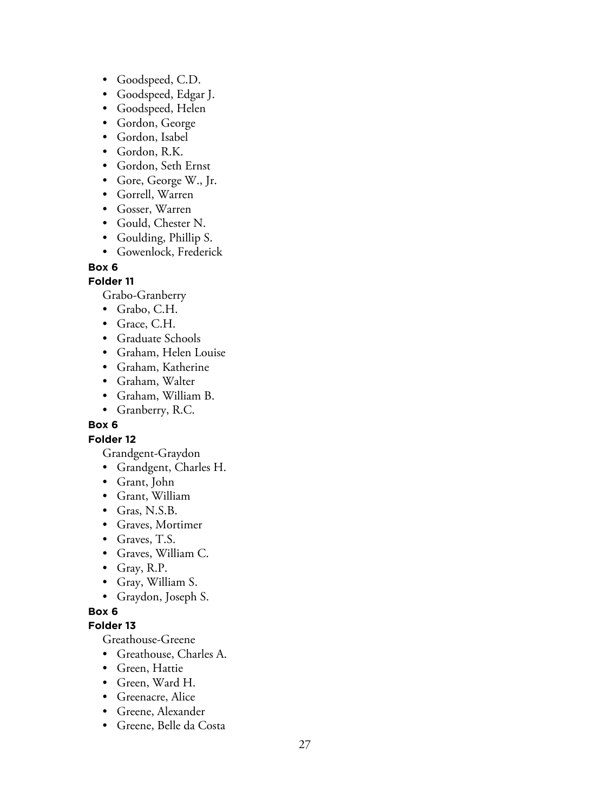- Goodspeed, C.D.
- Goodspeed, Edgar J.
- Goodspeed, Helen
- Gordon, George
- Gordon, Isabel
- Gordon, R.K.
- Gordon, Seth Ernst
- Gore, George W., Jr.
- Gorrell, Warren
- Gosser, Warren
- Gould, Chester N.
- Goulding, Phillip S.
- Gowenlock, Frederick

#### **Folder 11**

Grabo-Granberry

- Grabo, C.H.
- Grace, C.H.
- Graduate Schools
- Graham, Helen Louise
- Graham, Katherine
- Graham, Walter
- Graham, William B.
- Granberry, R.C.

## **Box 6**

#### **Folder 12**

Grandgent-Graydon

- Grandgent, Charles H.
- Grant, John
- Grant, William
- Gras, N.S.B.
- Graves, Mortimer
- Graves, T.S.
- Graves, William C.
- Gray, R.P.
- Gray, William S.
- Graydon, Joseph S.

#### **Box 6**

#### **Folder 13**

Greathouse-Greene

- Greathouse, Charles A.
- Green, Hattie
- Green, Ward H.
- Greenacre, Alice
- Greene, Alexander
- Greene, Belle da Costa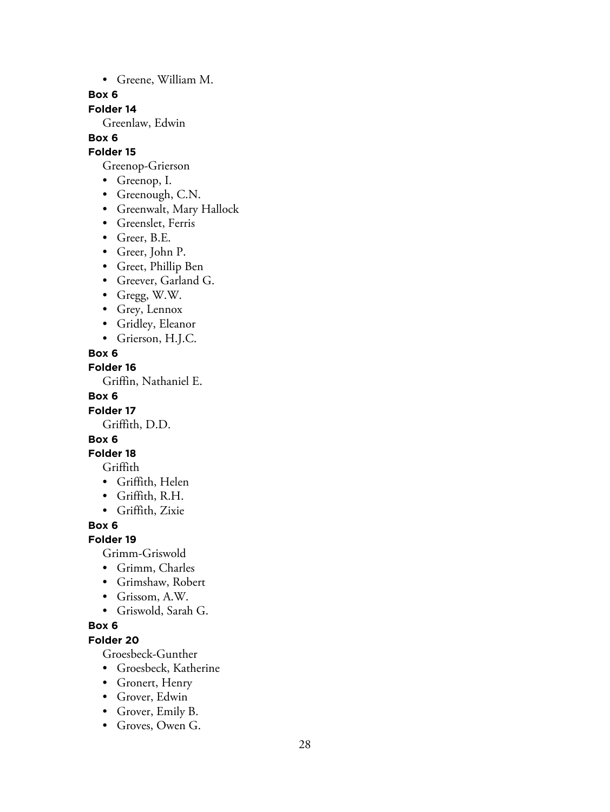• Greene, William M.

#### **Box 6**

**Folder 14**

Greenlaw, Edwin

# **Box 6**

# **Folder 15**

- Greenop-Grierson
- Greenop, I.
- Greenough, C.N.
- Greenwalt, Mary Hallock
- Greenslet, Ferris
- Greer, B.E.
- Greer, John P.
- Greet, Phillip Ben
- Greever, Garland G.
- Gregg, W.W.
- Grey, Lennox
- Gridley, Eleanor
- Grierson, H.J.C.

## **Box 6**

#### **Folder 16**

Griffin, Nathaniel E.

#### **Box 6**

## **Folder 17**

Griffith, D.D.

## **Box 6**

## **Folder 18**

Griffith

- Griffith, Helen
- Griffith, R.H.
- Griffith, Zixie

## **Box 6**

## **Folder 19**

Grimm-Griswold

- Grimm, Charles
- Grimshaw, Robert
- Grissom, A.W.
- Griswold, Sarah G.

# **Box 6**

# **Folder 20**

Groesbeck-Gunther

- Groesbeck, Katherine
- Gronert, Henry
- Grover, Edwin
- Grover, Emily B.
- Groves, Owen G.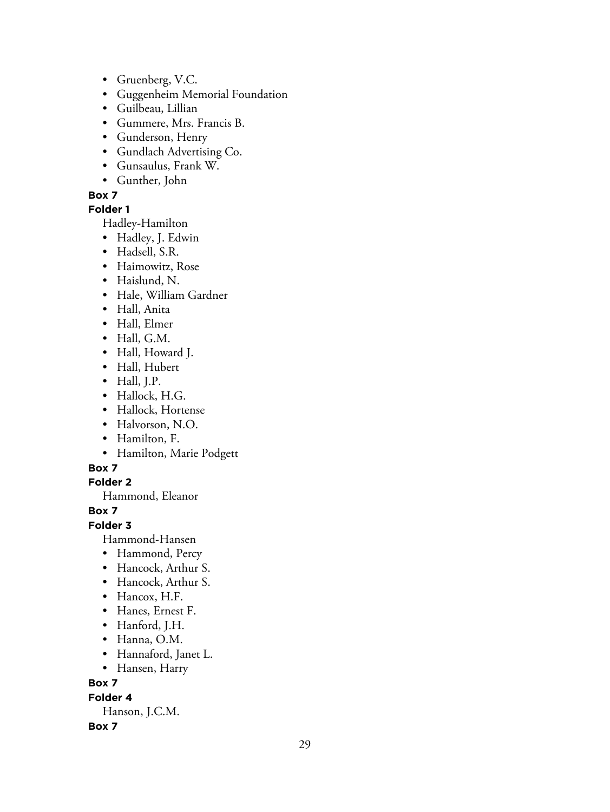- Gruenberg, V.C.
- Guggenheim Memorial Foundation
- Guilbeau, Lillian
- Gummere, Mrs. Francis B.
- Gunderson, Henry
- Gundlach Advertising Co.
- Gunsaulus, Frank W.
- Gunther, John

## **Folder 1**

Hadley-Hamilton

- Hadley, J. Edwin
- Hadsell, S.R.
- Haimowitz, Rose
- Haislund, N.
- Hale, William Gardner
- Hall, Anita
- Hall, Elmer
- Hall, G.M.
- Hall, Howard J.
- Hall, Hubert
- Hall, J.P.
- Hallock, H.G.
- Hallock, Hortense
- Halvorson, N.O.
- Hamilton, F.
- Hamilton, Marie Podgett

## **Box 7**

**Folder 2**

Hammond, Eleanor

**Box 7**

## **Folder 3**

Hammond-Hansen

- Hammond, Percy
- Hancock, Arthur S.
- Hancock, Arthur S.
- Hancox, H.F.
- Hanes, Ernest F.
- Hanford, J.H.
- Hanna, O.M.
- Hannaford, Janet L.
- Hansen, Harry

# **Box 7**

**Folder 4**

Hanson, J.C.M.

## **Box 7**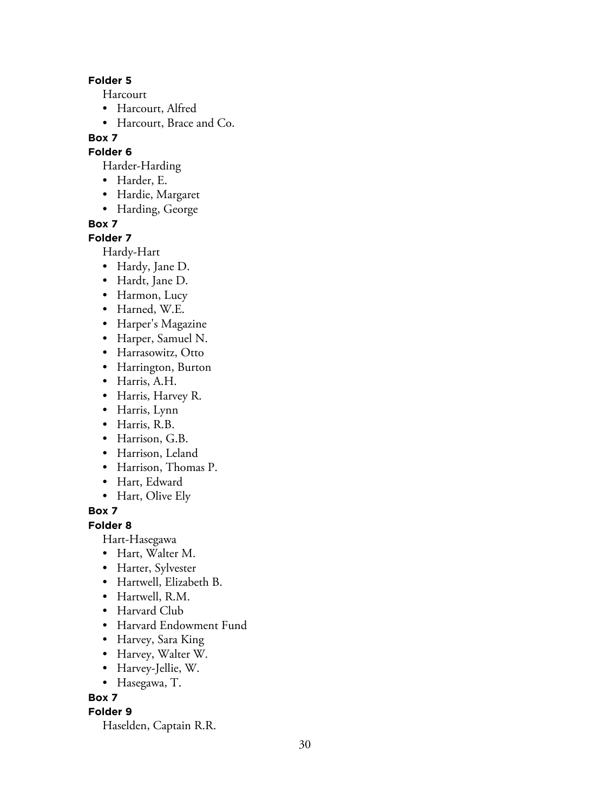#### **Folder 5**

Harcourt

- Harcourt, Alfred
- Harcourt, Brace and Co.

# **Box 7**

## **Folder 6**

Harder-Harding

- Harder, E.
- Hardie, Margaret
- Harding, George

## **Box 7**

## **Folder 7**

Hardy-Hart

- Hardy, Jane D.
- Hardt, Jane D.
- Harmon, Lucy
- Harned, W.E.
- Harper's Magazine
- Harper, Samuel N.
- Harrasowitz, Otto
- Harrington, Burton
- Harris, A.H.
- Harris, Harvey R.
- Harris, Lynn
- Harris, R.B.
- Harrison, G.B.
- Harrison, Leland
- Harrison, Thomas P.
- Hart, Edward
- Hart, Olive Ely

**Box 7**

## **Folder 8**

Hart-Hasegawa

- Hart, Walter M.
- Harter, Sylvester
- Hartwell, Elizabeth B.
- Hartwell, R.M.
- Harvard Club
- Harvard Endowment Fund
- Harvey, Sara King
- Harvey, Walter W.
- Harvey-Jellie, W.
- Hasegawa, T.

# **Box 7**

# **Folder 9**

Haselden, Captain R.R.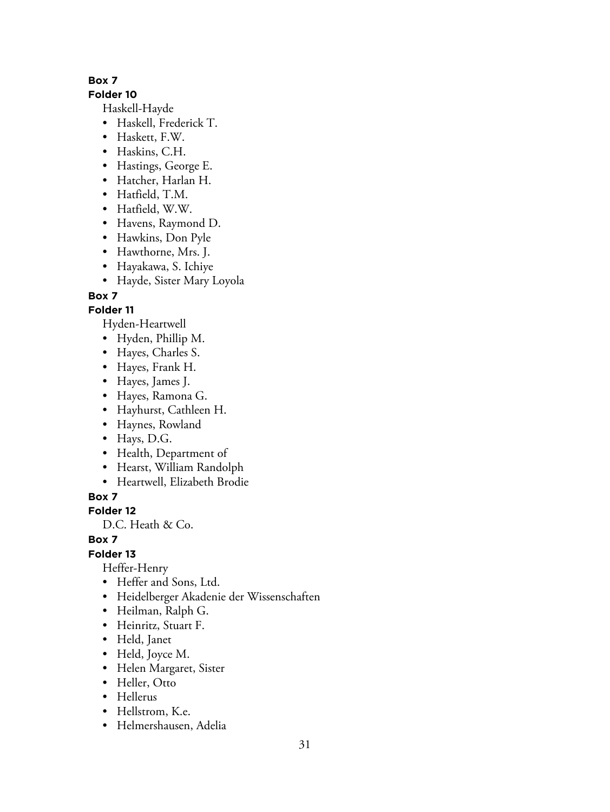## **Folder 10**

Haskell-Hayde

- Haskell, Frederick T.
- Haskett, F.W.
- Haskins, C.H.
- Hastings, George E.
- Hatcher, Harlan H.
- Hatfield, T.M.
- Hatfield, W.W.
- Havens, Raymond D.
- Hawkins, Don Pyle
- Hawthorne, Mrs. J.
- Hayakawa, S. Ichiye
- Hayde, Sister Mary Loyola

# **Box 7**

# **Folder 11**

Hyden-Heartwell

- Hyden, Phillip M.
- Hayes, Charles S.
- Hayes, Frank H.
- Hayes, James J.
- Hayes, Ramona G.
- Hayhurst, Cathleen H.
- Haynes, Rowland
- Hays, D.G.
- Health, Department of
- Hearst, William Randolph
- Heartwell, Elizabeth Brodie

**Box 7**

# **Folder 12**

D.C. Heath & Co.

# **Box 7**

**Folder 13**

Heffer-Henry

- Heffer and Sons, Ltd.
- Heidelberger Akadenie der Wissenschaften
- Heilman, Ralph G.
- Heinritz, Stuart F.
- Held, Janet
- Held, Joyce M.
- Helen Margaret, Sister
- Heller, Otto
- Hellerus
- Hellstrom, K.e.
- Helmershausen, Adelia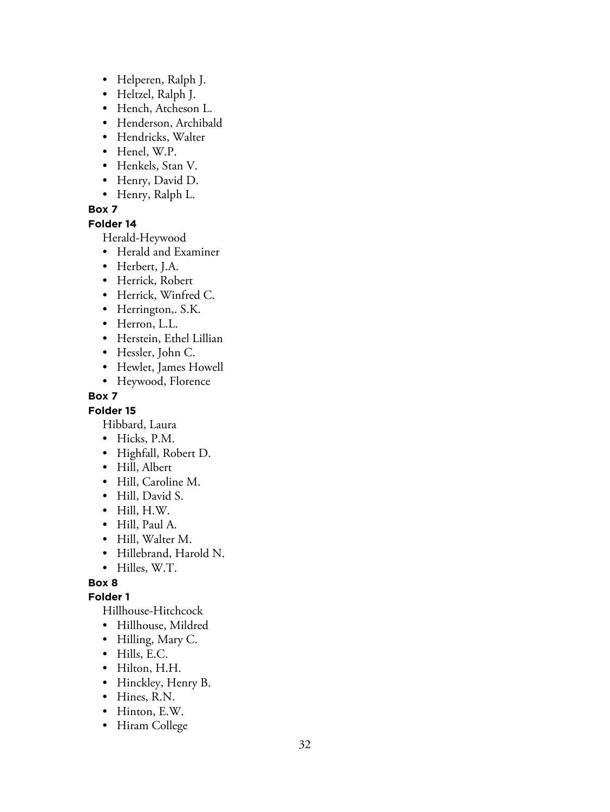- Helperen, Ralph J.
- Heltzel, Ralph J.
- Hench, Atcheson L.
- Henderson, Archibald
- Hendricks, Walter
- Henel, W.P.
- Henkels, Stan V.
- Henry, David D.
- Henry, Ralph L.

## **Folder 14**

Herald-Heywood

- Herald and Examiner
- Herbert, J.A.
- Herrick, Robert
- Herrick, Winfred C.
- Herrington,. S.K.
- Herron, L.L.
- Herstein, Ethel Lillian
- Hessler, John C.
- Hewlet, James Howell
- Heywood, Florence

## **Box 7**

## **Folder 15**

Hibbard, Laura

- Hicks, P.M.
- Highfall, Robert D.
- Hill, Albert
- Hill, Caroline M.
- Hill, David S.
- Hill, H.W.
- Hill, Paul A.
- Hill, Walter M.
- Hillebrand, Harold N.
- Hilles, W.T.

# **Box 8**

## **Folder 1**

Hillhouse-Hitchcock

- Hillhouse, Mildred
- Hilling, Mary C.
- Hills, E.C.
- Hilton, H.H.
- Hinckley, Henry B.
- Hines, R.N.
- Hinton, E.W.
- Hiram College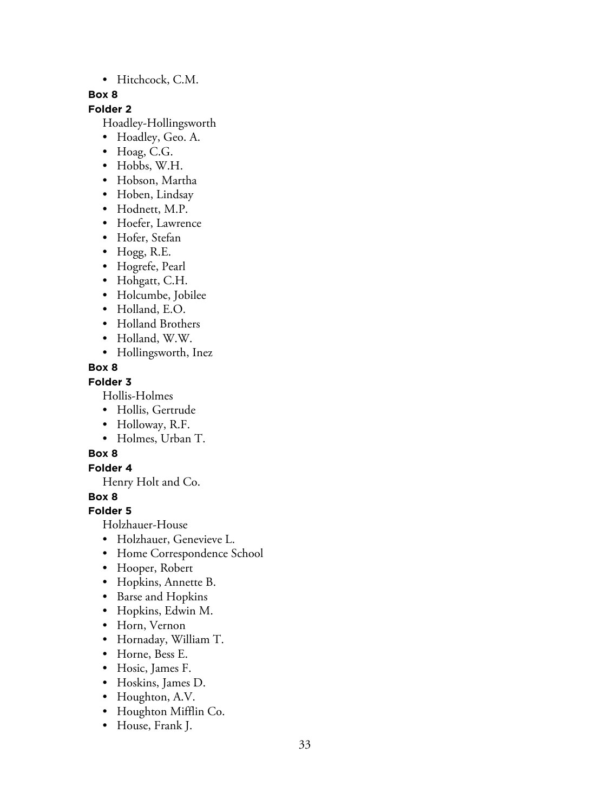• Hitchcock, C.M.

## **Box 8**

# **Folder 2**

Hoadley-Hollingsworth

- Hoadley, Geo. A.
- Hoag, C.G.
- Hobbs, W.H.
- Hobson, Martha
- Hoben, Lindsay
- Hodnett, M.P.
- Hoefer, Lawrence
- Hofer, Stefan
- Hogg, R.E.
- Hogrefe, Pearl
- Hohgatt, C.H.
- Holcumbe, Jobilee
- Holland, E.O.
- Holland Brothers
- Holland, W.W.
- Hollingsworth, Inez

## **Box 8**

# **Folder 3**

Hollis-Holmes

- Hollis, Gertrude
- Holloway, R.F.
- Holmes, Urban T.

# **Box 8**

# **Folder 4**

Henry Holt and Co.

**Box 8**

# **Folder 5**

Holzhauer-House

- Holzhauer, Genevieve L.
- Home Correspondence School
- Hooper, Robert
- Hopkins, Annette B.
- Barse and Hopkins
- Hopkins, Edwin M.
- Horn, Vernon
- Hornaday, William T.
- Horne, Bess E.
- Hosic, James F.
- Hoskins, James D.
- Houghton, A.V.
- Houghton Mifflin Co.
- House, Frank J.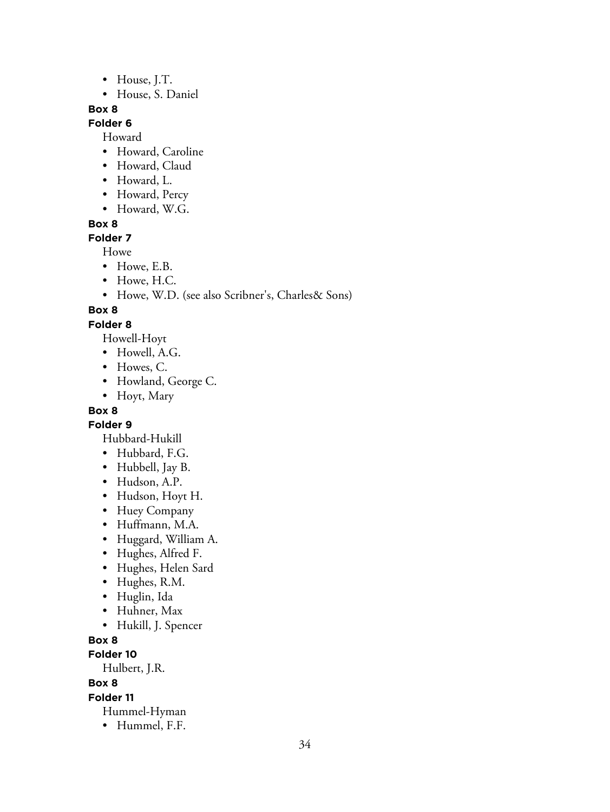- House, J.T.
- House, S. Daniel

## **Folder 6**

Howard

- Howard, Caroline
- Howard, Claud
- Howard, L.
- Howard, Percy
- Howard, W.G.

#### **Box 8**

**Folder 7**

Howe

- Howe, E.B.
- Howe, H.C.
- Howe, W.D. (see also Scribner's, Charles& Sons)

## **Box 8**

#### **Folder 8**

Howell-Hoyt

- Howell, A.G.
- Howes, C.
- Howland, George C.
- Hoyt, Mary

# **Box 8**

**Folder 9**

Hubbard-Hukill

- Hubbard, F.G.
- Hubbell, Jay B.
- Hudson, A.P.
- Hudson, Hoyt H.
- Huey Company
- Huffmann, M.A.
- Huggard, William A.
- Hughes, Alfred F.
- Hughes, Helen Sard
- Hughes, R.M.
- Huglin, Ida
- Huhner, Max
- Hukill, J. Spencer
- **Box 8**

**Folder 10**

Hulbert, J.R.

**Box 8**

#### **Folder 11**

- Hummel-Hyman
- Hummel, F.F.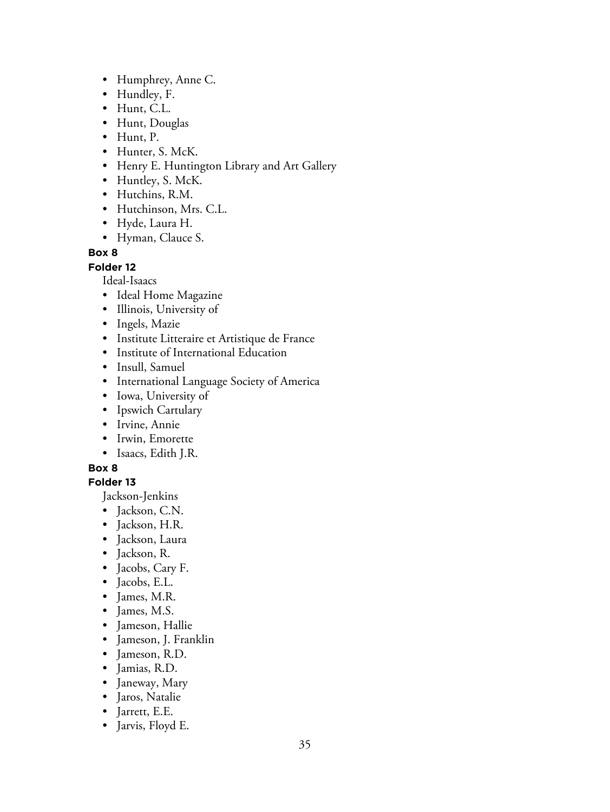- Humphrey, Anne C.
- Hundley, F.
- Hunt, C.L.
- Hunt, Douglas
- Hunt, P.
- Hunter, S. McK.
- Henry E. Huntington Library and Art Gallery
- Huntley, S. McK.
- Hutchins, R.M.
- Hutchinson, Mrs. C.L.
- Hyde, Laura H.
- Hyman, Clauce S.

#### **Folder 12**

Ideal-Isaacs

- Ideal Home Magazine
- Illinois, University of
- Ingels, Mazie
- Institute Litteraire et Artistique de France
- Institute of International Education
- Insull, Samuel
- International Language Society of America
- Iowa, University of
- Ipswich Cartulary
- Irvine, Annie
- Irwin, Emorette
- Isaacs, Edith J.R.

## **Box 8**

# **Folder 13**

Jackson-Jenkins

- Jackson, C.N.
- Jackson, H.R.
- Jackson, Laura
- Jackson, R.
- Jacobs, Cary F.
- Jacobs, E.L.
- James, M.R.
- James, M.S.
- Jameson, Hallie
- Jameson, J. Franklin
- Jameson, R.D.
- Jamias, R.D.
- Janeway, Mary
- Jaros, Natalie
- Jarrett, E.E.
- Jarvis, Floyd E.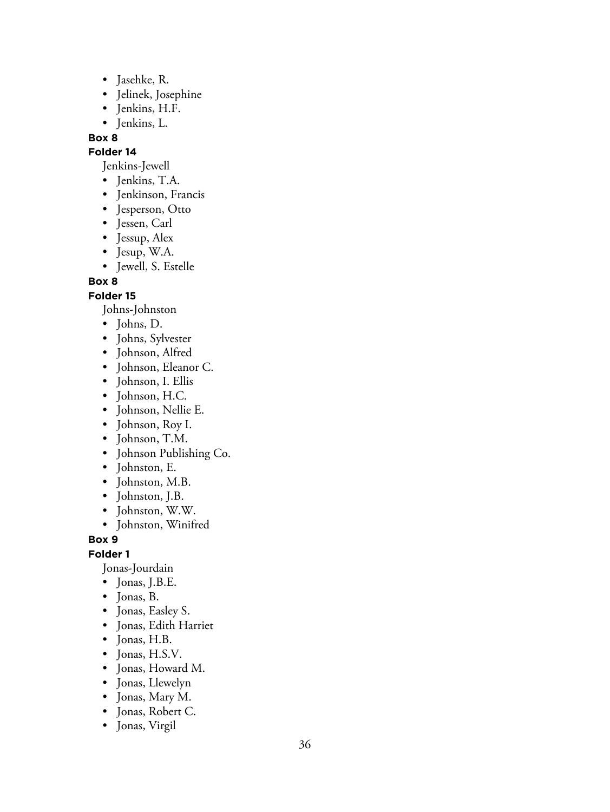- Jasehke, R.
- Jelinek, Josephine
- Jenkins, H.F.
- Jenkins, L.

#### **Folder 14**

Jenkins-Jewell

- Jenkins, T.A.
- Jenkinson, Francis
- Jesperson, Otto
- Jessen, Carl
- Jessup, Alex
- Jesup, W.A.
- Jewell, S. Estelle

**Box 8**

#### **Folder 15**

Johns-Johnston

- Johns, D.
- Johns, Sylvester
- Johnson, Alfred
- Johnson, Eleanor C.
- Johnson, I. Ellis
- Johnson, H.C.
- Johnson, Nellie E.
- Johnson, Roy I.
- Johnson, T.M.
- Johnson Publishing Co.
- Johnston, E.
- Johnston, M.B.
- Johnston, J.B.
- Johnston, W.W.
- Johnston, Winifred

**Box 9**

**Folder 1**

Jonas-Jourdain

- Jonas, J.B.E.
- Jonas, B.
- Jonas, Easley S.
- Jonas, Edith Harriet
- Jonas, H.B.
- Jonas, H.S.V.
- Jonas, Howard M.
- Jonas, Llewelyn
- Jonas, Mary M.
- Jonas, Robert C.
- Jonas, Virgil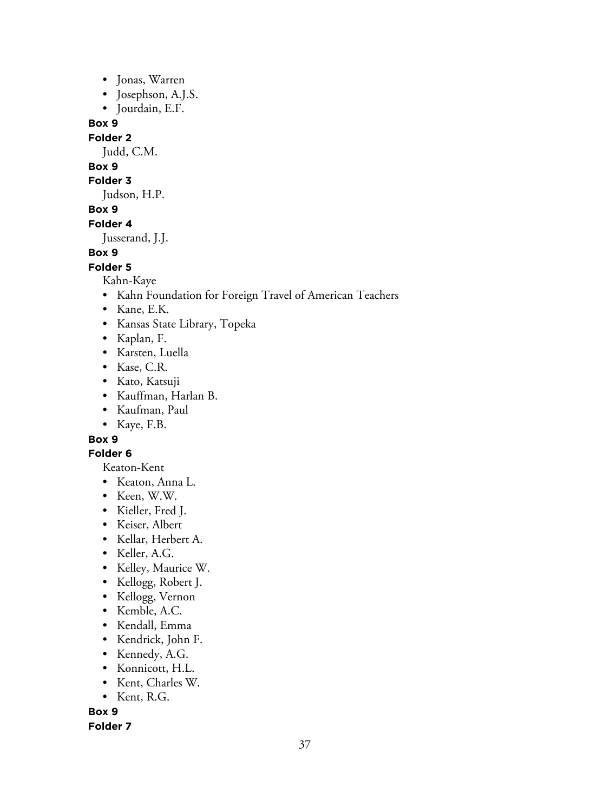- Jonas, Warren
- Josephson, A.J.S.
- Jourdain, E.F.

#### **Folder 2**

Judd, C.M.

# **Box 9**

# **Folder 3**

Judson, H.P.

# **Box 9**

#### **Folder 4**

Jusserand, J.J.

### **Box 9**

#### **Folder 5**

Kahn-Kaye

- Kahn Foundation for Foreign Travel of American Teachers
- Kane, E.K.
- Kansas State Library, Topeka
- Kaplan, F.
- Karsten, Luella
- Kase, C.R.
- Kato, Katsuji
- Kauffman, Harlan B.
- Kaufman, Paul
- Kaye, F.B.

# **Box 9**

# **Folder 6**

Keaton-Kent

- Keaton, Anna L.
- Keen, W.W.
- Kieller, Fred J.
- Keiser, Albert
- Kellar, Herbert A.
- Keller, A.G.
- Kelley, Maurice W.
- Kellogg, Robert J.
- Kellogg, Vernon
- Kemble, A.C.
- Kendall, Emma
- Kendrick, John F.
- Kennedy, A.G.
- Konnicott, H.L.
- Kent, Charles W.
- Kent, R.G.

**Box 9**

### **Folder 7**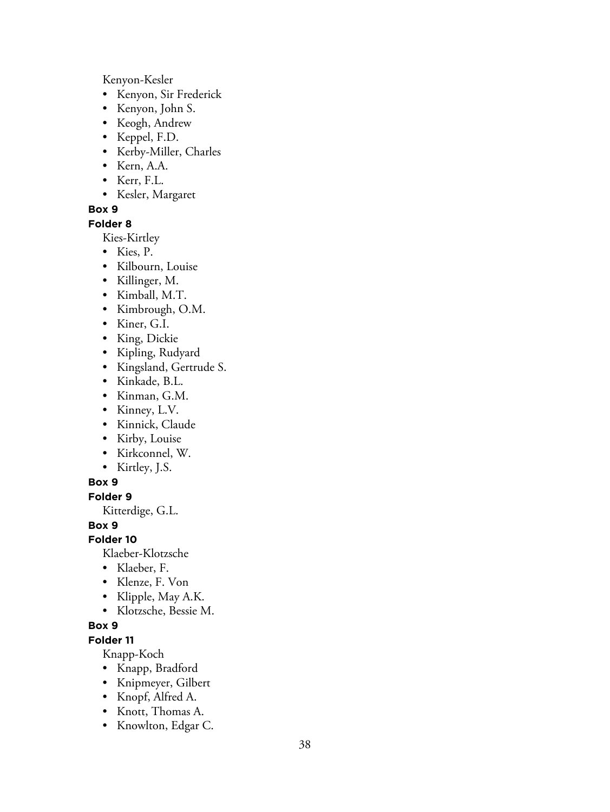Kenyon-Kesler

- Kenyon, Sir Frederick
- Kenyon, John S.
- Keogh, Andrew
- Keppel, F.D.
- Kerby-Miller, Charles
- Kern, A.A.
- Kerr, F.L.
- Kesler, Margaret

#### **Box 9**

#### **Folder 8**

Kies-Kirtley

- Kies, P.
- Kilbourn, Louise
- Killinger, M.
- Kimball, M.T.
- Kimbrough, O.M.
- Kiner, G.I.
- King, Dickie
- Kipling, Rudyard
- Kingsland, Gertrude S.
- Kinkade, B.L.
- Kinman, G.M.
- Kinney, L.V.
- Kinnick, Claude
- Kirby, Louise
- Kirkconnel, W.
- Kirtley, J.S.

#### **Box 9**

**Folder 9**

Kitterdige, G.L.

**Box 9**

#### **Folder 10**

Klaeber-Klotzsche

- Klaeber, F.
- Klenze, F. Von
- Klipple, May A.K.
- Klotzsche, Bessie M.

## **Box 9**

# **Folder 11**

Knapp-Koch

- Knapp, Bradford
- Knipmeyer, Gilbert
- Knopf, Alfred A.
- Knott, Thomas A.
- Knowlton, Edgar C.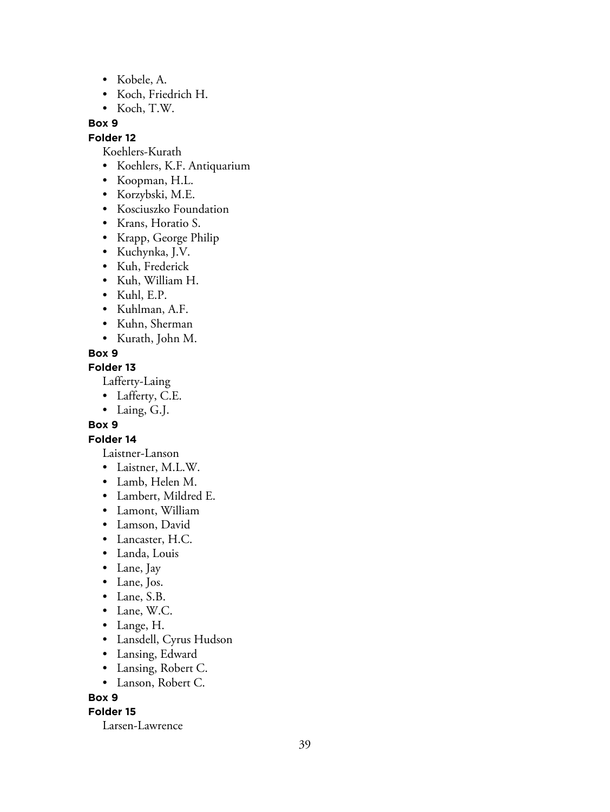- Kobele, A.
- Koch, Friedrich H.
- Koch, T.W.

#### **Folder 12**

Koehlers-Kurath

- Koehlers, K.F. Antiquarium
- Koopman, H.L.
- Korzybski, M.E.
- Kosciuszko Foundation
- Krans, Horatio S.
- Krapp, George Philip
- Kuchynka, J.V.
- Kuh, Frederick
- Kuh, William H.
- Kuhl, E.P.
- Kuhlman, A.F.
- Kuhn, Sherman
- Kurath, John M.
- **Box 9**

#### **Folder 13**

Lafferty-Laing

- Lafferty, C.E.
- Laing, G.J.

#### **Box 9**

### **Folder 14**

Laistner-Lanson

- Laistner, M.L.W.
- Lamb, Helen M.
- Lambert, Mildred E.
- Lamont, William
- Lamson, David
- Lancaster, H.C.
- Landa, Louis
- Lane, Jay
- Lane, Jos.
- Lane, S.B.
- Lane, W.C.
- Lange, H.
- Lansdell, Cyrus Hudson
- Lansing, Edward
- Lansing, Robert C.
- Lanson, Robert C.

#### **Box 9**

#### **Folder 15**

Larsen-Lawrence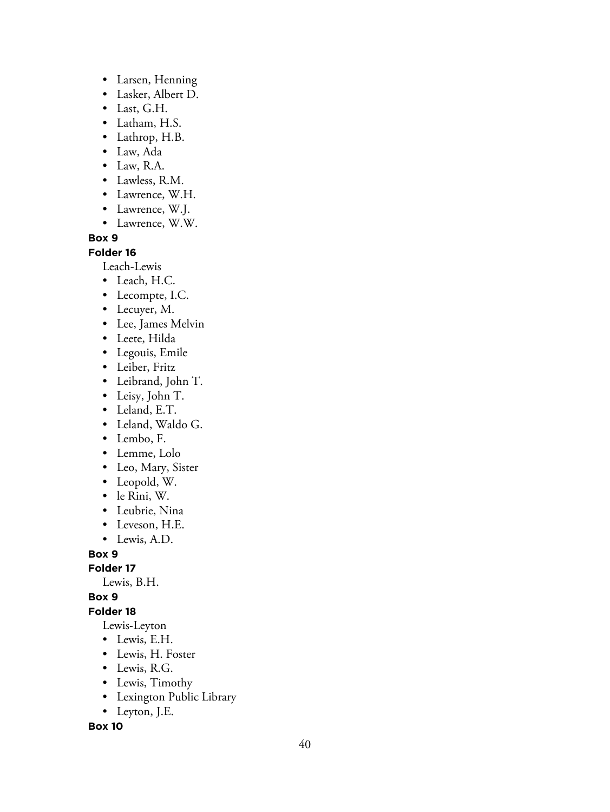- Larsen, Henning
- Lasker, Albert D.
- Last, G.H.
- Latham, H.S.
- Lathrop, H.B.
- Law, Ada
- Law, R.A.
- Lawless, R.M.
- Lawrence, W.H.
- Lawrence, W.J.
- Lawrence, W.W.

#### **Folder 16**

Leach-Lewis

- Leach, H.C.
- Lecompte, I.C.
- Lecuyer, M.
- Lee, James Melvin
- Leete, Hilda
- Legouis, Emile
- Leiber, Fritz
- Leibrand, John T.
- Leisy, John T.
- Leland, E.T.
- Leland, Waldo G.
- Lembo, F.
- Lemme, Lolo
- Leo, Mary, Sister
- Leopold, W.
- le Rini, W.
- Leubrie, Nina
- Leveson, H.E.
- Lewis, A.D.

**Box 9**

#### **Folder 17**

Lewis, B.H.

**Box 9**

### **Folder 18**

Lewis-Leyton

- Lewis, E.H.
- Lewis, H. Foster
- Lewis, R.G.
- Lewis, Timothy
- Lexington Public Library
- Leyton, J.E.

**Box 10**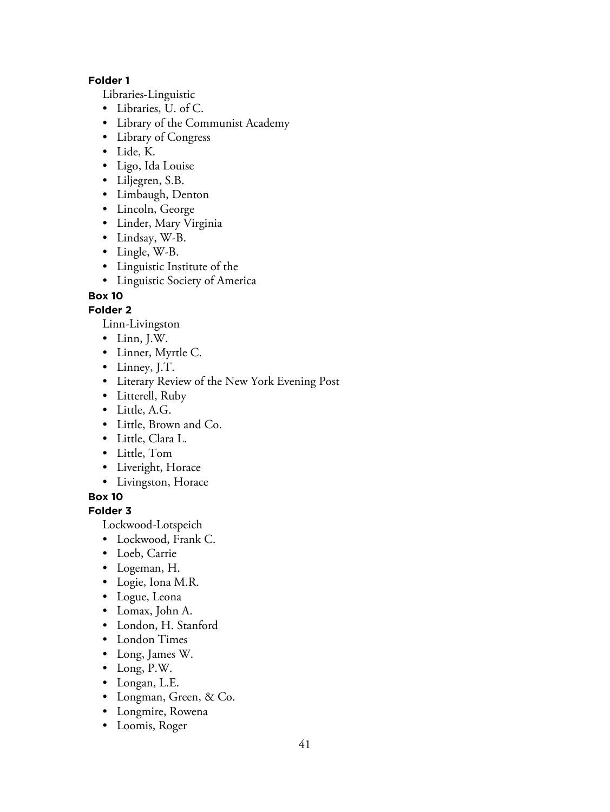## **Folder 1**

Libraries-Linguistic

- Libraries, U. of C.
- Library of the Communist Academy
- Library of Congress
- Lide, K.
- Ligo, Ida Louise
- Liljegren, S.B.
- Limbaugh, Denton
- Lincoln, George
- Linder, Mary Virginia
- Lindsay, W-B.
- Lingle, W-B.
- Linguistic Institute of the
- Linguistic Society of America

## **Box 10**

## **Folder 2**

Linn-Livingston

- Linn, J.W.
- Linner, Myrtle C.
- Linney, J.T.
- Literary Review of the New York Evening Post
- Litterell, Ruby
- Little, A.G.
- Little, Brown and Co.
- Little, Clara L.
- Little, Tom
- Liveright, Horace
- Livingston, Horace

**Box 10**

### **Folder 3**

Lockwood-Lotspeich

- Lockwood, Frank C.
- Loeb, Carrie
- Logeman, H.
- Logie, Iona M.R.
- Logue, Leona
- Lomax, John A.
- London, H. Stanford
- London Times
- Long, James W.
- Long, P.W.
- Longan, L.E.
- Longman, Green, & Co.
- Longmire, Rowena
- Loomis, Roger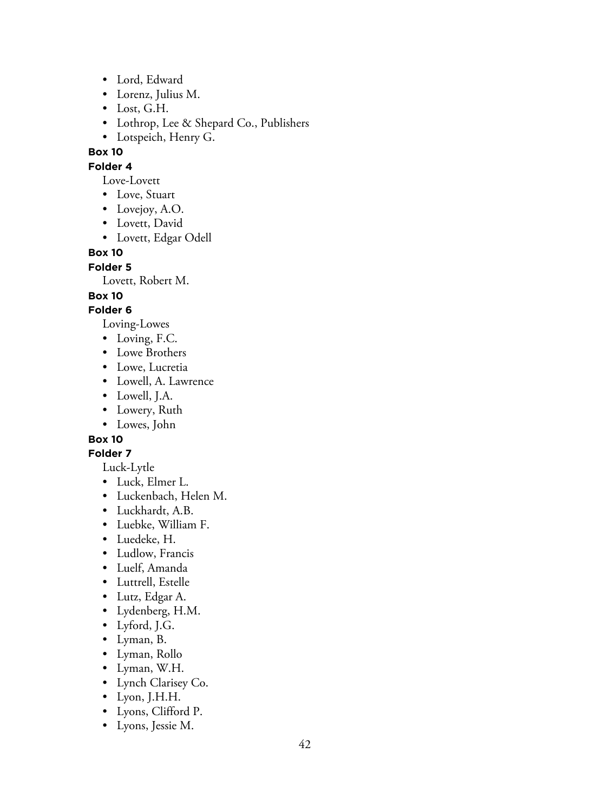- Lord, Edward
- Lorenz, Julius M.
- Lost, G.H.
- Lothrop, Lee & Shepard Co., Publishers
- Lotspeich, Henry G.

**Folder 4**

- Love-Lovett
- Love, Stuart
- Lovejoy, A.O.
- Lovett, David
- Lovett, Edgar Odell

### **Box 10**

#### **Folder 5**

Lovett, Robert M.

#### **Box 10**

# **Folder 6**

Loving-Lowes

- Loving, F.C.
- Lowe Brothers
- Lowe, Lucretia
- Lowell, A. Lawrence
- Lowell, J.A.
- Lowery, Ruth
- Lowes, John

# **Box 10**

#### **Folder 7**

Luck-Lytle

- Luck, Elmer L.
- Luckenbach, Helen M.
- Luckhardt, A.B.
- Luebke, William F.
- Luedeke, H.
- Ludlow, Francis
- Luelf, Amanda
- Luttrell, Estelle
- Lutz, Edgar A.
- Lydenberg, H.M.
- Lyford, J.G.
- Lyman, B.
- Lyman, Rollo
- Lyman, W.H.
- Lynch Clarisey Co.
- Lyon, J.H.H.
- Lyons, Clifford P.
- Lyons, Jessie M.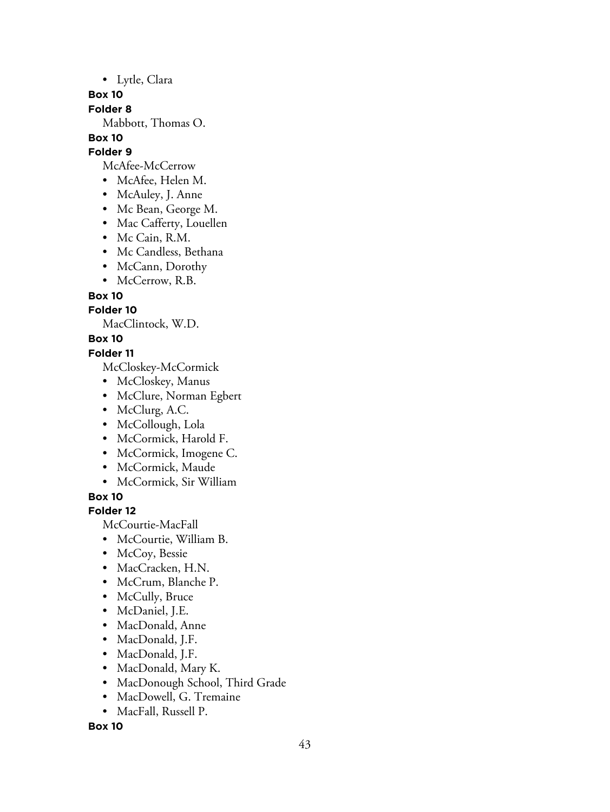• Lytle, Clara

**Box 10**

**Folder 8**

Mabbott, Thomas O.

# **Box 10**

**Folder 9**

McAfee-McCerrow

- McAfee, Helen M.
- McAuley, J. Anne
- Mc Bean, George M.
- Mac Cafferty, Louellen
- Mc Cain, R.M.
- Mc Candless, Bethana
- McCann, Dorothy
- McCerrow, R.B.

**Box 10**

# **Folder 10**

MacClintock, W.D.

**Box 10**

# **Folder 11**

McCloskey-McCormick

- McCloskey, Manus
- McClure, Norman Egbert
- McClurg, A.C.
- McCollough, Lola
- McCormick, Harold F.
- McCormick, Imogene C.
- McCormick, Maude
- McCormick, Sir William

**Box 10**

# **Folder 12**

McCourtie-MacFall

- McCourtie, William B.
- McCoy, Bessie
- MacCracken, H.N.
- McCrum, Blanche P.
- McCully, Bruce
- McDaniel, J.E.
- MacDonald, Anne
- MacDonald, J.F.
- MacDonald, J.F.
- MacDonald, Mary K.
- MacDonough School, Third Grade
- MacDowell, G. Tremaine
- MacFall, Russell P.

**Box 10**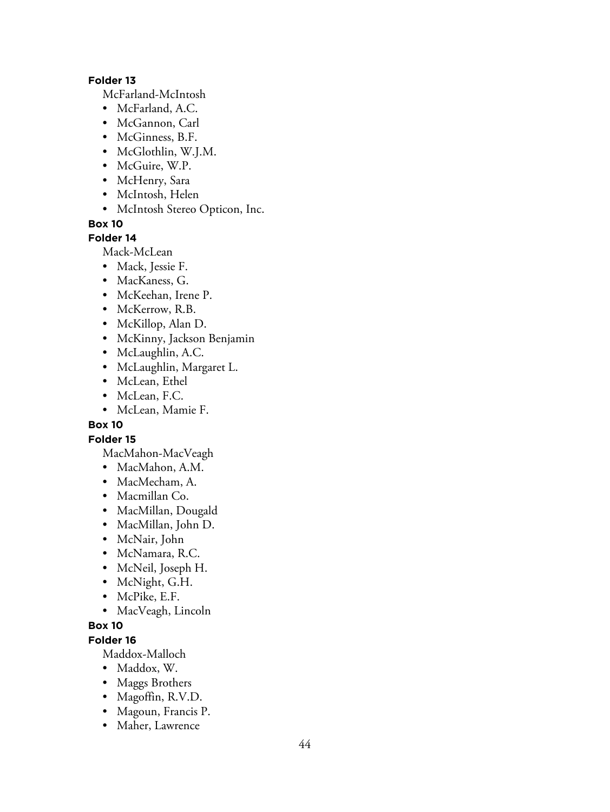#### **Folder 13**

McFarland-McIntosh

- McFarland, A.C.
- McGannon, Carl
- McGinness, B.F.
- McGlothlin, W.J.M.
- McGuire, W.P.
- McHenry, Sara
- McIntosh, Helen
- McIntosh Stereo Opticon, Inc.

**Box 10**

### **Folder 14**

Mack-McLean

- Mack, Jessie F.
- MacKaness, G.
- McKeehan, Irene P.
- McKerrow, R.B.
- McKillop, Alan D.
- McKinny, Jackson Benjamin
- McLaughlin, A.C.
- McLaughlin, Margaret L.
- McLean, Ethel
- McLean, F.C.
- McLean, Mamie F.

### **Box 10**

### **Folder 15**

- MacMahon-MacVeagh
- MacMahon, A.M.
- MacMecham, A.
- Macmillan Co.
- MacMillan, Dougald
- MacMillan, John D.
- McNair, John
- McNamara, R.C.
- McNeil, Joseph H.
- McNight, G.H.
- McPike, E.F.
- MacVeagh, Lincoln

# **Box 10**

# **Folder 16**

Maddox-Malloch

- Maddox, W.
- Maggs Brothers
- Magoffin, R.V.D.
- Magoun, Francis P.
- Maher, Lawrence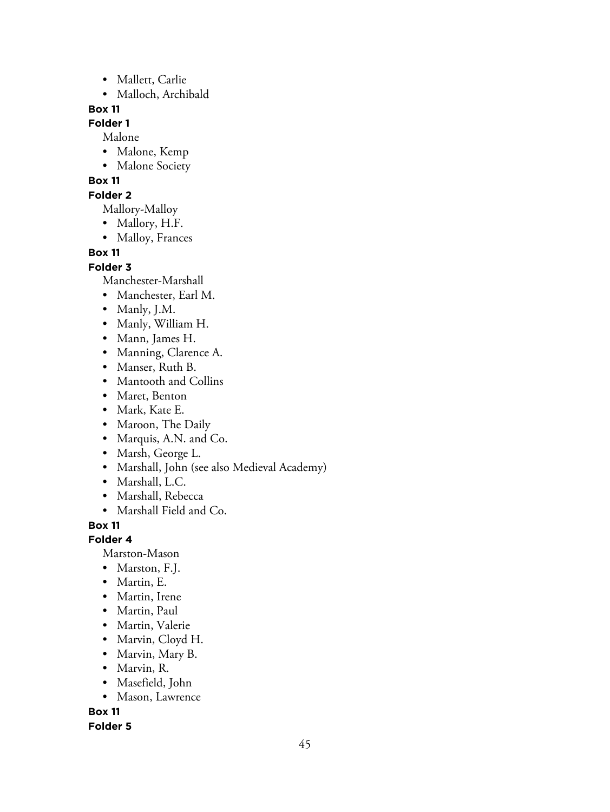- Mallett, Carlie
- Malloch, Archibald

# **Folder 1**

Malone

- Malone, Kemp
- Malone Society

## **Box 11**

### **Folder 2**

Mallory-Malloy

- Mallory, H.F.
- Malloy, Frances

# **Box 11**

## **Folder 3**

Manchester-Marshall

- Manchester, Earl M.
- Manly, J.M.
- Manly, William H.
- Mann, James H.
- Manning, Clarence A.
- Manser, Ruth B.
- Mantooth and Collins
- Maret, Benton
- Mark, Kate E.
- Maroon, The Daily
- Marquis, A.N. and Co.
- Marsh, George L.
- Marshall, John (see also Medieval Academy)
- Marshall, L.C.
- Marshall, Rebecca
- Marshall Field and Co.

# **Box 11**

**Folder 4**

Marston-Mason

- Marston, F.J.
- Martin, E.
- Martin, Irene
- Martin, Paul
- Martin, Valerie
- Marvin, Cloyd H.
- Marvin, Mary B.
- Marvin, R.
- Masefield, John
- Mason, Lawrence

**Box 11**

### **Folder 5**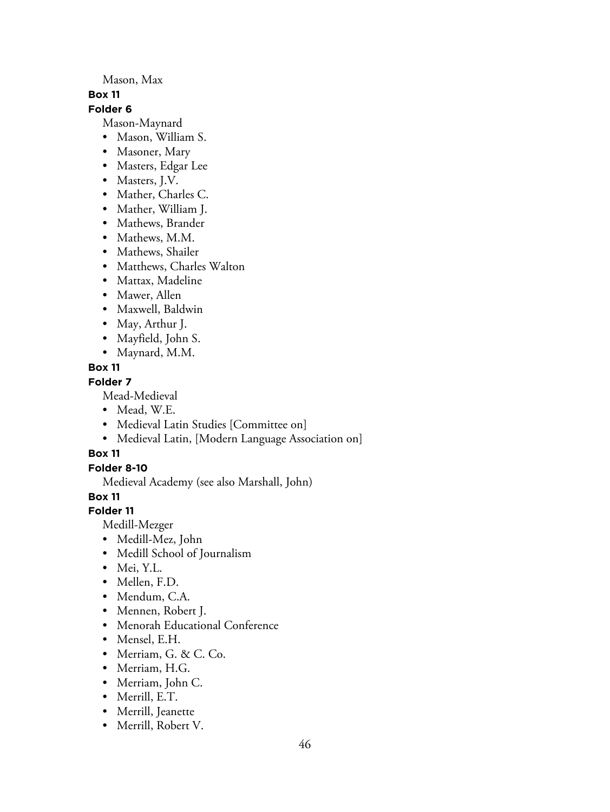Mason, Max

#### **Box 11**

### **Folder 6**

Mason-Maynard

- Mason, William S.
- Masoner, Mary
- Masters, Edgar Lee
- Masters, J.V.
- Mather, Charles C.
- Mather, William J.
- Mathews, Brander
- Mathews, M.M.
- Mathews, Shailer
- Matthews, Charles Walton
- Mattax, Madeline
- Mawer, Allen
- Maxwell, Baldwin
- May, Arthur J.
- Mayfield, John S.
- Maynard, M.M.

# **Box 11**

# **Folder 7**

Mead-Medieval

- Mead, W.E.
- Medieval Latin Studies [Committee on]
- Medieval Latin, [Modern Language Association on]

# **Box 11**

# **Folder 8-10**

Medieval Academy (see also Marshall, John)

**Box 11**

# **Folder 11**

Medill-Mezger

- Medill-Mez, John
- Medill School of Journalism
- Mei, Y.L.
- Mellen, F.D.
- Mendum, C.A.
- Mennen, Robert J.
- Menorah Educational Conference
- Mensel, E.H.
- Merriam, G. & C. Co.
- Merriam, H.G.
- Merriam, John C.
- Merrill, E.T.
- Merrill, Jeanette
- Merrill, Robert V.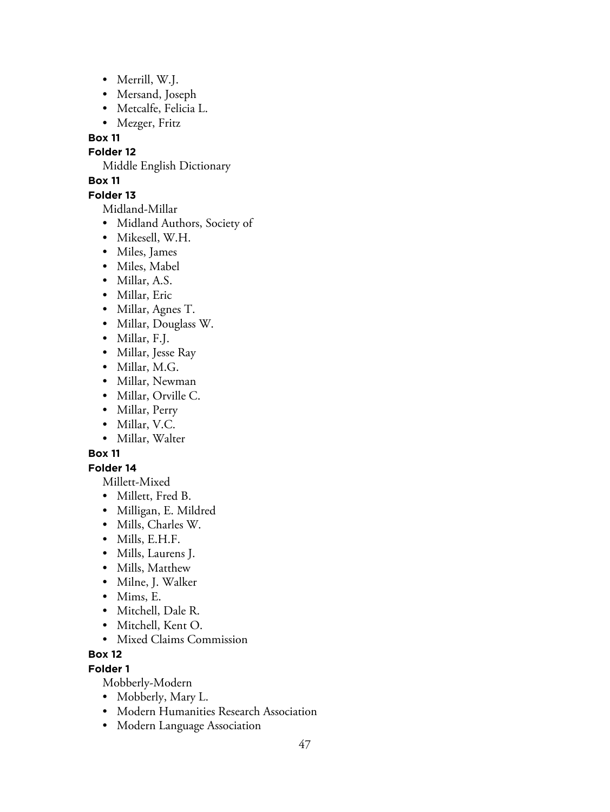- Merrill, W.J.
- Mersand, Joseph
- Metcalfe, Felicia L.
- Mezger, Fritz

**Folder 12**

Middle English Dictionary

# **Box 11**

## **Folder 13**

Midland-Millar

- Midland Authors, Society of
- Mikesell, W.H.
- Miles, James
- Miles, Mabel
- Millar, A.S.
- Millar, Eric
- Millar, Agnes T.
- Millar, Douglass W.
- Millar, F.J.
- Millar, Jesse Ray
- Millar, M.G.
- Millar, Newman
- Millar, Orville C.
- Millar, Perry
- Millar, V.C.
- Millar, Walter

# **Box 11**

# **Folder 14**

Millett-Mixed

- Millett, Fred B.
- Milligan, E. Mildred
- Mills, Charles W.
- Mills, E.H.F.
- Mills, Laurens J.
- Mills, Matthew
- Milne, J. Walker
- Mims, E.
- Mitchell, Dale R.
- Mitchell, Kent O.
- Mixed Claims Commission

# **Box 12**

# **Folder 1**

Mobberly-Modern

- Mobberly, Mary L.
- Modern Humanities Research Association
- Modern Language Association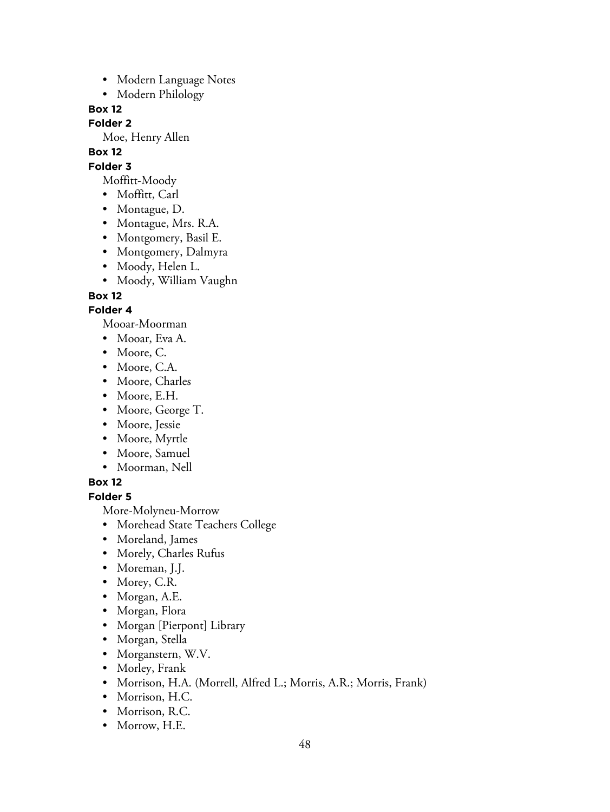- Modern Language Notes
- Modern Philology

### **Folder 2**

Moe, Henry Allen

**Box 12**

# **Folder 3**

- Moffitt-Moody
- Moffitt, Carl
- Montague, D.
- Montague, Mrs. R.A.
- Montgomery, Basil E.
- Montgomery, Dalmyra
- Moody, Helen L.
- Moody, William Vaughn

**Box 12**

# **Folder 4**

Mooar-Moorman

- Mooar, Eva A.
- Moore, C.
- Moore, C.A.
- Moore, Charles
- Moore, E.H.
- Moore, George T.
- Moore, Jessie
- Moore, Myrtle
- Moore, Samuel
- Moorman, Nell

# **Box 12**

# **Folder 5**

More-Molyneu-Morrow

- Morehead State Teachers College
- Moreland, James
- Morely, Charles Rufus
- Moreman, J.J.
- Morey, C.R.
- Morgan, A.E.
- Morgan, Flora
- Morgan [Pierpont] Library
- Morgan, Stella
- Morganstern, W.V.
- Morley, Frank
- Morrison, H.A. (Morrell, Alfred L.; Morris, A.R.; Morris, Frank)
- Morrison, H.C.
- Morrison, R.C.
- Morrow, H.E.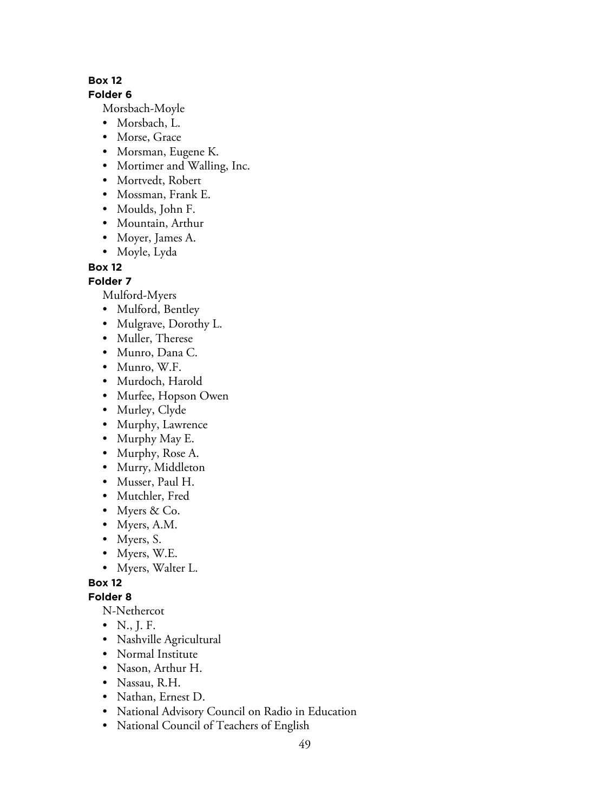### **Folder 6**

Morsbach-Moyle

- Morsbach, L.
- Morse, Grace
- Morsman, Eugene K.
- Mortimer and Walling, Inc.
- Mortvedt, Robert
- Mossman, Frank E.
- Moulds, John F.
- Mountain, Arthur
- Moyer, James A.
- Moyle, Lyda

**Box 12**

**Folder 7**

Mulford-Myers

- Mulford, Bentley
- Mulgrave, Dorothy L.
- Muller, Therese
- Munro, Dana C.
- Munro, W.F.
- Murdoch, Harold
- Murfee, Hopson Owen
- Murley, Clyde
- Murphy, Lawrence
- Murphy May E.
- Murphy, Rose A.
- Murry, Middleton
- Musser, Paul H.
- Mutchler, Fred
- Myers & Co.
- Myers, A.M.
- Myers, S.
- Myers, W.E.
- Myers, Walter L.

**Box 12**

### **Folder 8**

N-Nethercot

- N., J. F.
- Nashville Agricultural
- Normal Institute
- Nason, Arthur H.
- Nassau, R.H.
- Nathan, Ernest D.
- National Advisory Council on Radio in Education
- National Council of Teachers of English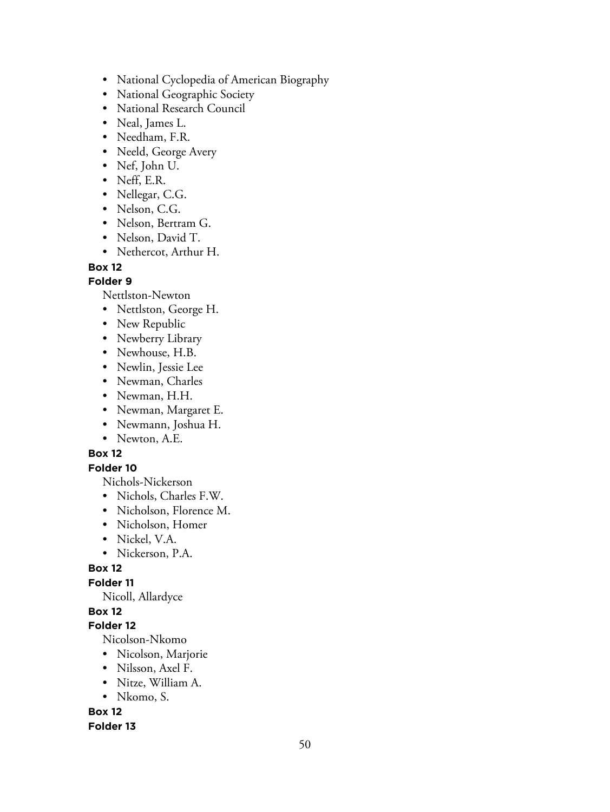- National Cyclopedia of American Biography
- National Geographic Society
- National Research Council
- Neal, James L.
- Needham, F.R.
- Neeld, George Avery
- Nef, John U.
- Neff, E.R.
- Nellegar, C.G.
- Nelson, C.G.
- Nelson, Bertram G.
- Nelson, David T.
- Nethercot, Arthur H.

### **Folder 9**

Nettlston-Newton

- Nettlston, George H.
- New Republic
- Newberry Library
- Newhouse, H.B.
- Newlin, Jessie Lee
- Newman, Charles
- Newman, H.H.
- Newman, Margaret E.
- Newmann, Joshua H.
- Newton, A.E.

### **Box 12**

### **Folder 10**

Nichols-Nickerson

- Nichols, Charles F.W.
- Nicholson, Florence M.
- Nicholson, Homer
- Nickel, V.A.
- Nickerson, P.A.

### **Box 12**

### **Folder 11**

Nicoll, Allardyce

# **Box 12**

## **Folder 12**

Nicolson-Nkomo

- Nicolson, Marjorie
- Nilsson, Axel F.
- Nitze, William A.
- Nkomo, S.

# **Box 12**

### **Folder 13**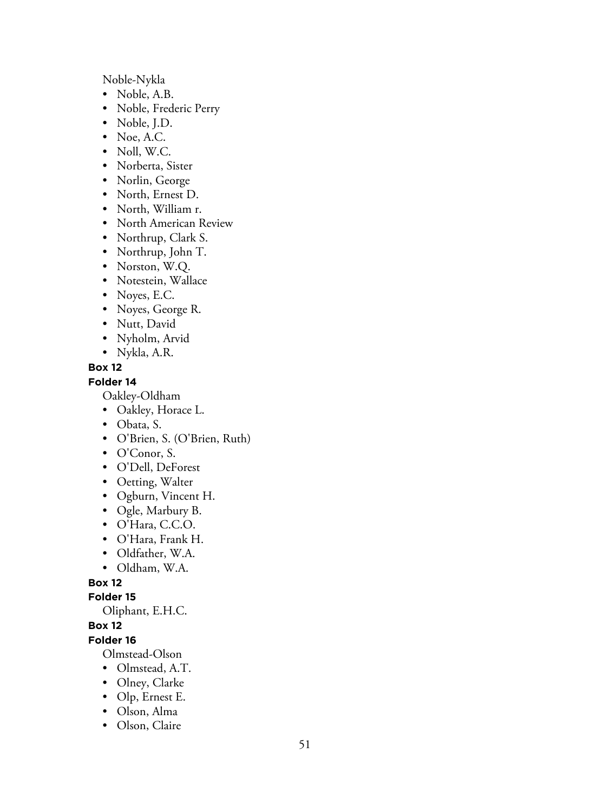Noble-Nykla

- Noble, A.B.
- Noble, Frederic Perry
- Noble, J.D.
- Noe, A.C.
- Noll, W.C.
- Norberta, Sister
- Norlin, George
- North, Ernest D.
- North, William r.
- North American Review
- Northrup, Clark S.
- Northrup, John T.
- Norston, W.Q.
- Notestein, Wallace
- Noyes, E.C.
- Noyes, George R.
- Nutt, David
- Nyholm, Arvid
- Nykla, A.R.

### **Box 12**

### **Folder 14**

Oakley-Oldham

- Oakley, Horace L.
- Obata, S.
- O'Brien, S. (O'Brien, Ruth)
- O'Conor, S.
- O'Dell, DeForest
- Oetting, Walter
- Ogburn, Vincent H.
- Ogle, Marbury B.
- O'Hara, C.C.O.
- O'Hara, Frank H.
- Oldfather, W.A.
- Oldham, W.A.

# **Box 12**

### **Folder 15**

Oliphant, E.H.C.

## **Box 12**

## **Folder 16**

Olmstead-Olson

- Olmstead, A.T.
- Olney, Clarke
- Olp, Ernest E.
- Olson, Alma
- Olson, Claire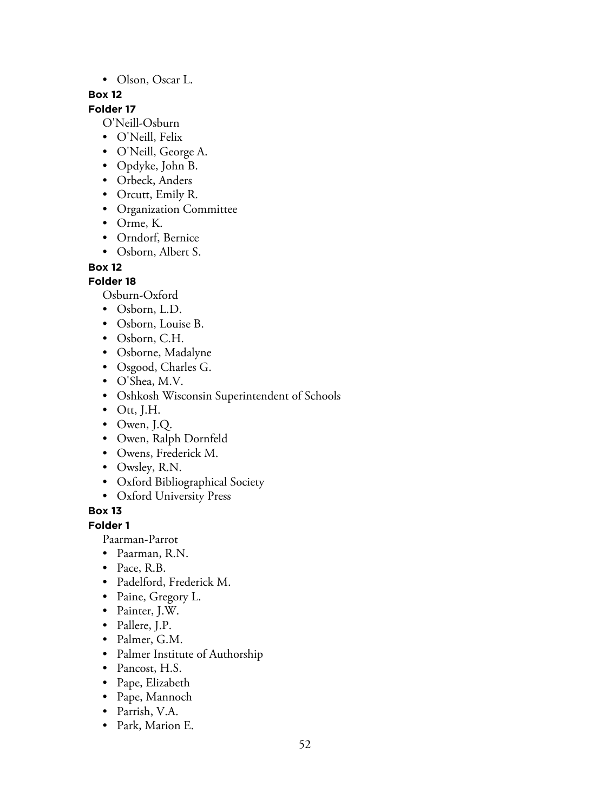• Olson, Oscar L.

### **Box 12**

# **Folder 17**

O'Neill-Osburn

- O'Neill, Felix
- O'Neill, George A.
- Opdyke, John B.
- Orbeck, Anders
- Orcutt, Emily R.
- Organization Committee
- Orme, K.
- Orndorf, Bernice
- Osborn, Albert S.

### **Box 12**

## **Folder 18**

Osburn-Oxford

- Osborn, L.D.
- Osborn, Louise B.
- Osborn, C.H.
- Osborne, Madalyne
- Osgood, Charles G.
- O'Shea, M.V.
- Oshkosh Wisconsin Superintendent of Schools
- $\bullet$  Ott, J.H.
- Owen, J.Q.
- Owen, Ralph Dornfeld
- Owens, Frederick M.
- Owsley, R.N.
- Oxford Bibliographical Society
- Oxford University Press

# **Box 13**

### **Folder 1**

Paarman-Parrot

• Paarman, R.N.

- Pace, R.B.
- Padelford, Frederick M.
- Paine, Gregory L.
- Painter, J.W.
- Pallere, J.P.
- Palmer, G.M.
- Palmer Institute of Authorship
- Pancost, H.S.
- Pape, Elizabeth
- Pape, Mannoch
- Parrish, V.A.
- Park, Marion E.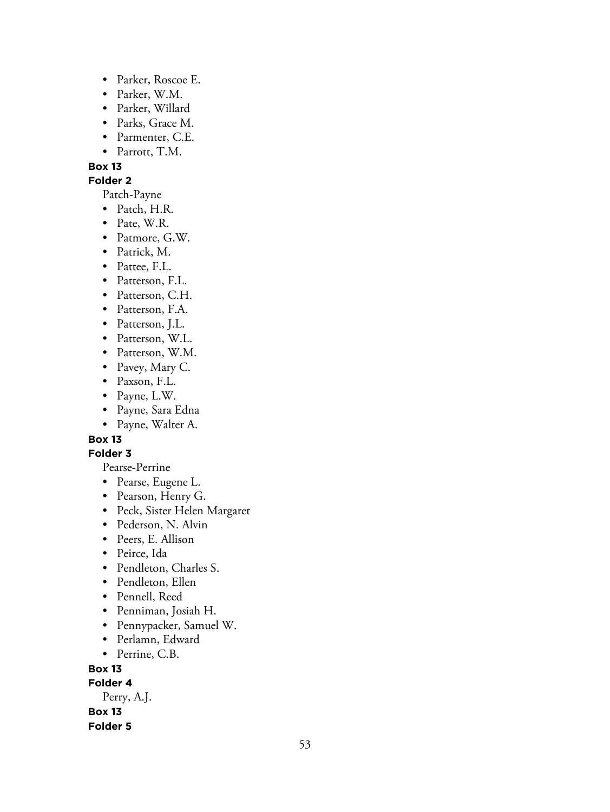- Parker, Roscoe E.
- Parker, W.M.
- Parker, Willard
- Parks, Grace M.
- Parmenter, C.E.
- Parrott, T.M.

#### **Folder 2**

Patch-Payne

- Patch, H.R.
- Pate, W.R.
- Patmore, G.W.
- Patrick, M.
- Pattee, F.L.
- Patterson, F.L.
- Patterson, C.H.
- Patterson, F.A.
- Patterson, J.L.
- Patterson, W.L.
- Patterson, W.M.
- Pavey, Mary C.
- Paxson, F.L.
- Payne, L.W.
- Payne, Sara Edna
- Payne, Walter A.

# **Box 13**

# **Folder 3**

Pearse-Perrine

- Pearse, Eugene L.
- Pearson, Henry G.
- Peck, Sister Helen Margaret
- Pederson, N. Alvin
- Peers, E. Allison
- Peirce, Ida
- Pendleton, Charles S.
- Pendleton, Ellen
- Pennell, Reed
- Penniman, Josiah H.
- Pennypacker, Samuel W.
- Perlamn, Edward
- Perrine, C.B.

**Box 13**

**Folder 4**

Perry, A.J.

**Box 13**

**Folder 5**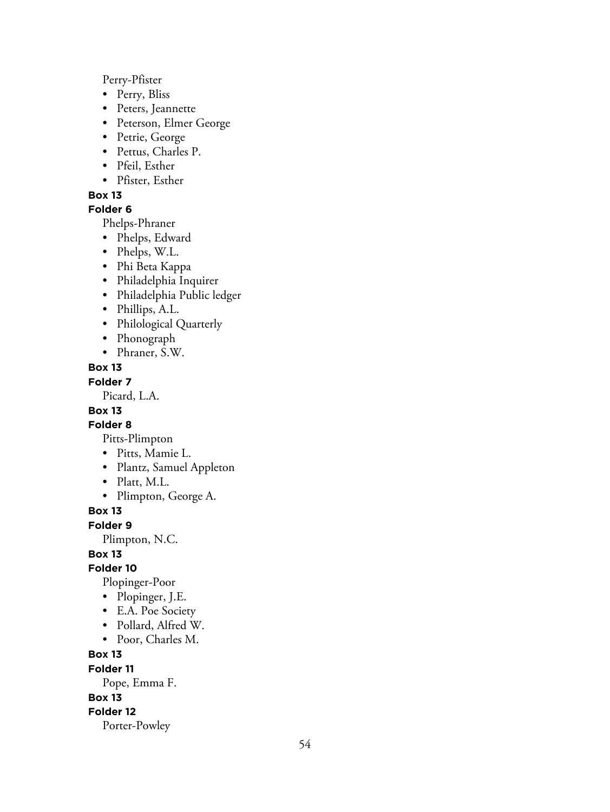Perry-Pfister

- Perry, Bliss
- Peters, Jeannette
- Peterson, Elmer George
- Petrie, George
- Pettus, Charles P.
- Pfeil, Esther
- Pfister, Esther

#### **Box 13**

### **Folder 6**

Phelps-Phraner

- Phelps, Edward
- Phelps, W.L.
- Phi Beta Kappa
- Philadelphia Inquirer
- Philadelphia Public ledger
- Phillips, A.L.
- Philological Quarterly
- Phonograph
- Phraner, S.W.

#### **Box 13**

#### **Folder 7**

Picard, L.A.

## **Box 13**

## **Folder 8**

Pitts-Plimpton

- Pitts, Mamie L.
- Plantz, Samuel Appleton
- Platt, M.L.
- Plimpton, George A.

**Box 13**

#### **Folder 9**

Plimpton, N.C.

### **Box 13**

**Folder 10**

- Plopinger-Poor
- Plopinger, J.E.
- E.A. Poe Society
- Pollard, Alfred W.
- Poor, Charles M.

#### **Box 13**

**Folder 11**

Pope, Emma F.

**Box 13**

#### **Folder 12**

Porter-Powley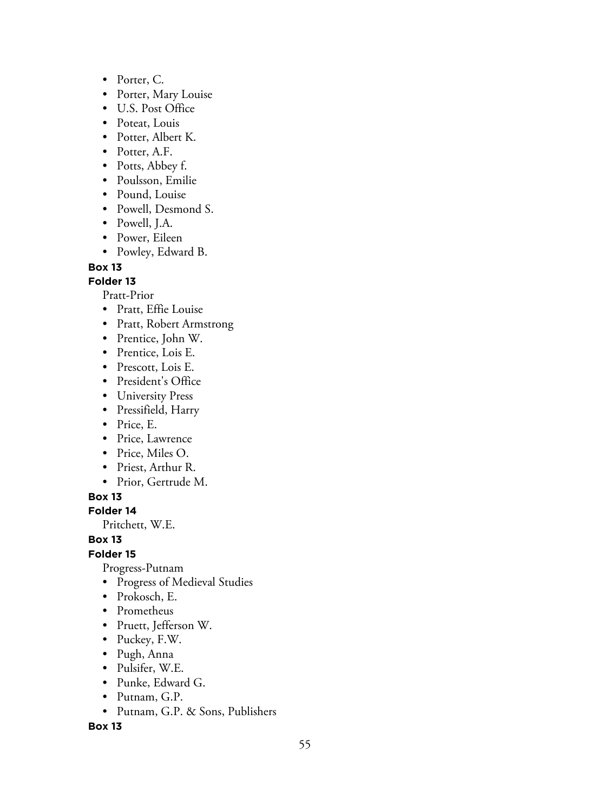- Porter, C.
- Porter, Mary Louise
- U.S. Post Office
- Poteat, Louis
- Potter, Albert K.
- Potter, A.F.
- Potts, Abbey f.
- Poulsson, Emilie
- Pound, Louise
- Powell, Desmond S.
- Powell, J.A.
- Power, Eileen
- Powley, Edward B.

#### **Folder 13**

Pratt-Prior

- Pratt, Effie Louise
- Pratt, Robert Armstrong
- Prentice, John W.
- Prentice, Lois E.
- Prescott, Lois E.
- President's Office
- University Press
- Pressifield, Harry
- Price, E.
- Price, Lawrence
- Price, Miles O.
- Priest, Arthur R.
- Prior, Gertrude M.

**Box 13**

**Folder 14**

Pritchett, W.E.

### **Box 13**

**Folder 15**

Progress-Putnam

- Progress of Medieval Studies
- Prokosch, E.
- Prometheus
- Pruett, Jefferson W.
- Puckey, F.W.
- Pugh, Anna
- Pulsifer, W.E.
- Punke, Edward G.
- Putnam, G.P.
- Putnam, G.P. & Sons, Publishers

#### **Box 13**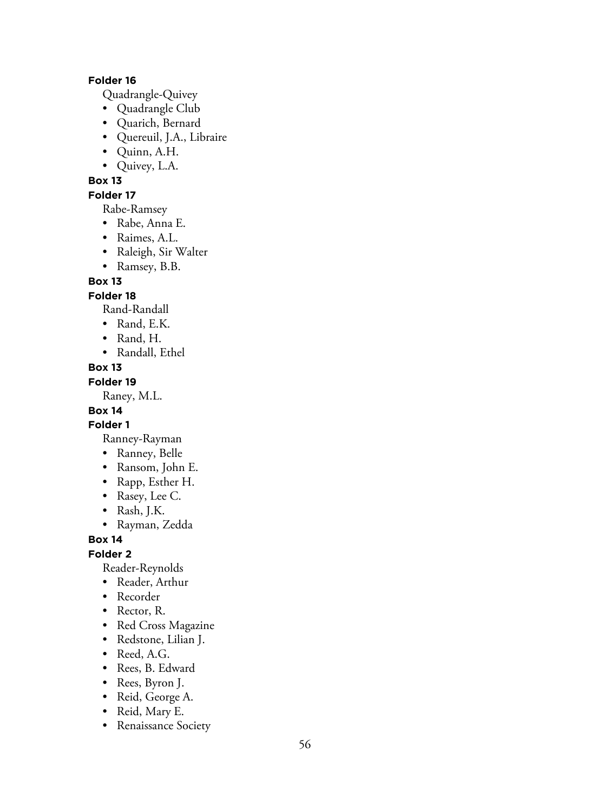### **Folder 16**

Quadrangle-Quivey

- Quadrangle Club
- Quarich, Bernard
- Quereuil, J.A., Libraire
- Quinn, A.H.
- Quivey, L.A.

### **Box 13**

### **Folder 17**

Rabe-Ramsey

- Rabe, Anna E.
- Raimes, A.L.
- Raleigh, Sir Walter
- Ramsey, B.B.

#### **Box 13**

**Folder 18**

Rand-Randall

- Rand, E.K.
- Rand, H.
- Randall, Ethel

#### **Box 13**

#### **Folder 19**

Raney, M.L.

# **Box 14**

### **Folder 1**

- Ranney-Rayman
- Ranney, Belle
- Ransom, John E.
- Rapp, Esther H.
- Rasey, Lee C.
- Rash, J.K.
- Rayman, Zedda

## **Box 14**

#### **Folder 2**

Reader-Reynolds

- Reader, Arthur
- Recorder
- Rector, R.
- Red Cross Magazine
- Redstone, Lilian J.
- Reed, A.G.
- Rees, B. Edward
- Rees, Byron J.
- Reid, George A.
- Reid, Mary E.
- Renaissance Society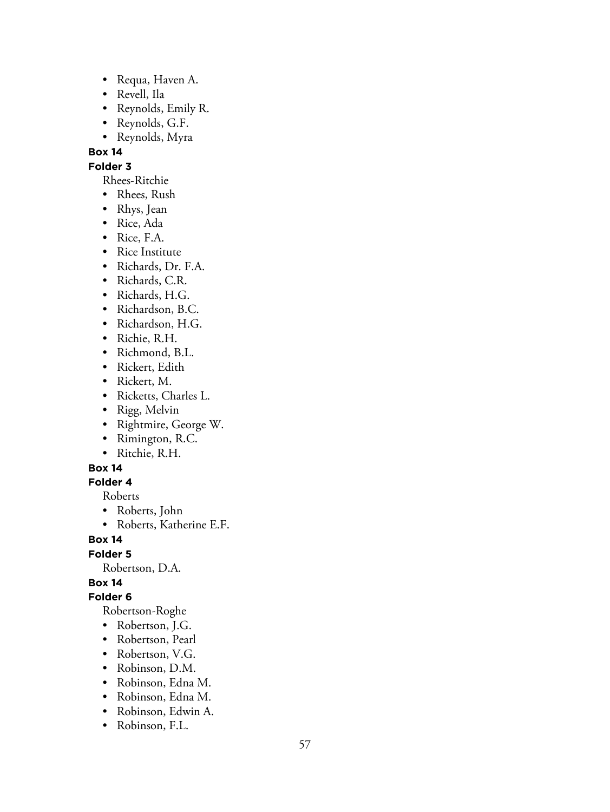- Requa, Haven A.
- Revell, Ila
- Reynolds, Emily R.
- Reynolds, G.F.
- Reynolds, Myra

**Folder 3**

- Rhees-Ritchie
- Rhees, Rush
- Rhys, Jean
- Rice, Ada
- Rice, F.A.
- Rice Institute
- Richards, Dr. F.A.
- Richards, C.R.
- Richards, H.G.
- Richardson, B.C.
- Richardson, H.G.
- Richie, R.H.
- Richmond, B.L.
- Rickert, Edith
- Rickert, M.
- Ricketts, Charles L.
- Rigg, Melvin
- Rightmire, George W.
- Rimington, R.C.
- Ritchie, R.H.

#### **Box 14**

#### **Folder 4**

Roberts

- Roberts, John
- Roberts, Katherine E.F.

**Box 14**

**Folder 5**

Robertson, D.A.

# **Box 14**

**Folder 6**

Robertson-Roghe

- Robertson, J.G.
- Robertson, Pearl
- Robertson, V.G.
- Robinson, D.M.
- Robinson, Edna M.
- Robinson, Edna M.
- Robinson, Edwin A.
- Robinson, F.L.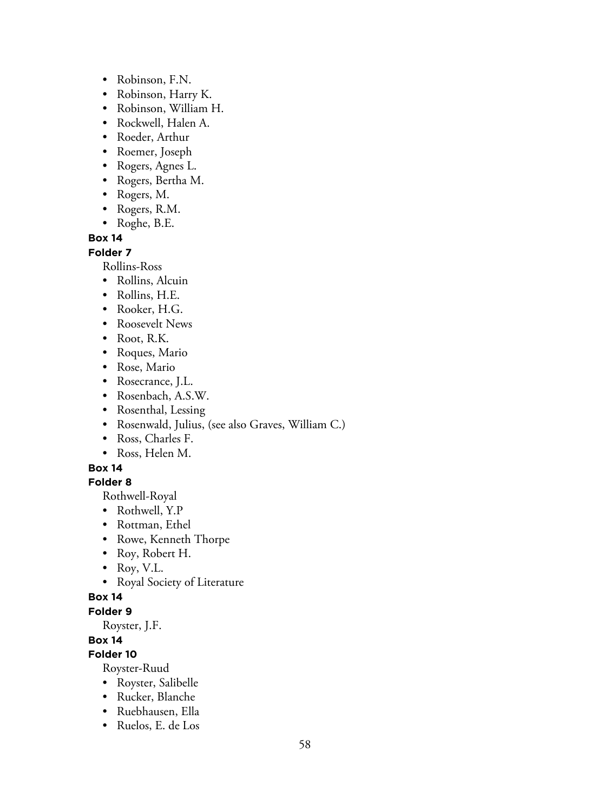- Robinson, F.N.
- Robinson, Harry K.
- Robinson, William H.
- Rockwell, Halen A.
- Roeder, Arthur
- Roemer, Joseph
- Rogers, Agnes L.
- Rogers, Bertha M.
- Rogers, M.
- Rogers, R.M.
- Roghe, B.E.

#### **Folder 7**

Rollins-Ross

- Rollins, Alcuin
- Rollins, H.E.
- Rooker, H.G.
- Roosevelt News
- Root, R.K.
- Roques, Mario
- Rose, Mario
- Rosecrance, J.L.
- Rosenbach, A.S.W.
- Rosenthal, Lessing
- Rosenwald, Julius, (see also Graves, William C.)
- Ross, Charles F.
- Ross, Helen M.

#### **Box 14**

#### **Folder 8**

Rothwell-Royal

- Rothwell, Y.P
- Rottman, Ethel
- Rowe, Kenneth Thorpe
- Roy, Robert H.
- Roy, V.L.
- Royal Society of Literature

#### **Box 14**

#### **Folder 9**

Royster, J.F.

# **Box 14**

# **Folder 10**

Royster-Ruud

- Royster, Salibelle
- Rucker, Blanche
- Ruebhausen, Ella
- Ruelos, E. de Los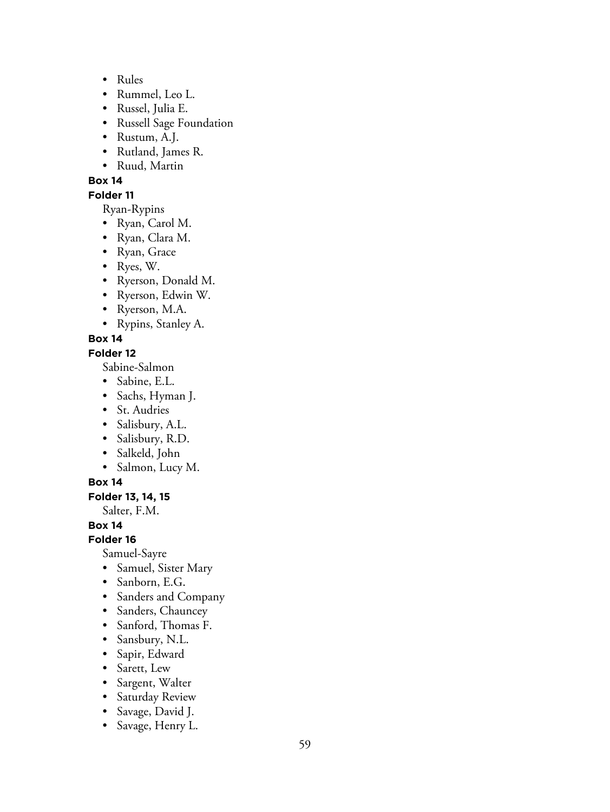- Rules
- Rummel, Leo L.
- Russel, Julia E.
- Russell Sage Foundation
- Rustum, A.J.
- Rutland, James R.
- Ruud, Martin

#### **Folder 11**

Ryan-Rypins

- Ryan, Carol M.
- Ryan, Clara M.
- Ryan, Grace
- Ryes, W.
- Ryerson, Donald M.
- Ryerson, Edwin W.
- Ryerson, M.A.
- Rypins, Stanley A.

## **Box 14**

### **Folder 12**

Sabine-Salmon

- Sabine, E.L.
- Sachs, Hyman J.
- St. Audries
- Salisbury, A.L.
- Salisbury, R.D.
- Salkeld, John
- Salmon, Lucy M.

### **Box 14**

### **Folder 13, 14, 15**

Salter, F.M.

### **Box 14**

**Folder 16**

Samuel-Sayre

- Samuel, Sister Mary
- Sanborn, E.G.
- Sanders and Company
- Sanders, Chauncey
- Sanford, Thomas F.
- Sansbury, N.L.
- Sapir, Edward
- Sarett, Lew
- Sargent, Walter
- Saturday Review
- Savage, David J.
- Savage, Henry L.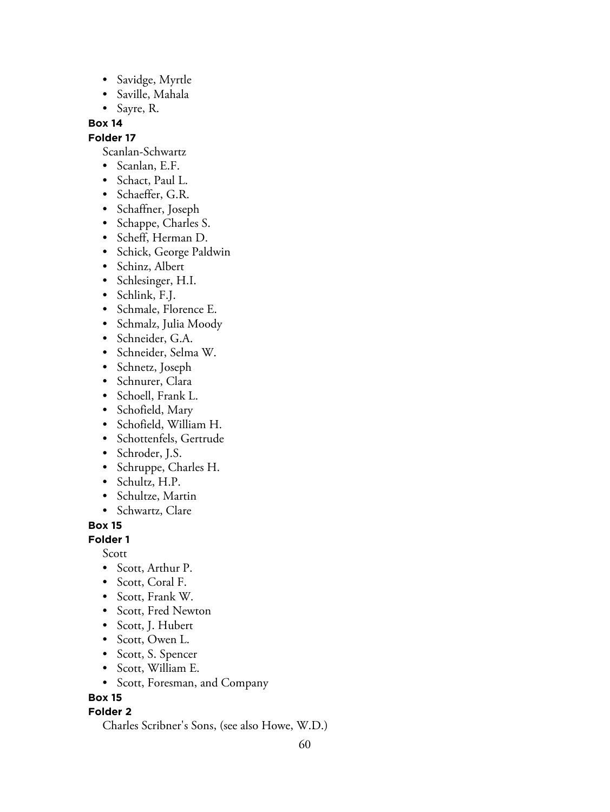- Savidge, Myrtle
- Saville, Mahala
- Sayre, R.

#### **Folder 17**

Scanlan-Schwartz

- Scanlan, E.F.
- Schact, Paul L.
- Schaeffer, G.R.
- Schaffner, Joseph
- Schappe, Charles S.
- Scheff, Herman D.
- Schick, George Paldwin
- Schinz, Albert
- Schlesinger, H.I.
- Schlink, F.J.
- Schmale, Florence E.
- Schmalz, Julia Moody
- Schneider, G.A.
- Schneider, Selma W.
- Schnetz, Joseph
- Schnurer, Clara
- Schoell, Frank L.
- Schofield, Mary
- Schofield, William H.
- Schottenfels, Gertrude
- Schroder, J.S.
- Schruppe, Charles H.
- Schultz, H.P.
- Schultze, Martin
- Schwartz, Clare

**Box 15**

## **Folder 1**

Scott

- Scott, Arthur P.
- Scott, Coral F.
- Scott, Frank W.
- Scott, Fred Newton
- Scott, J. Hubert
- Scott, Owen L.
- Scott, S. Spencer
- Scott, William E.
- Scott, Foresman, and Company

### **Box 15**

### **Folder 2**

Charles Scribner's Sons, (see also Howe, W.D.)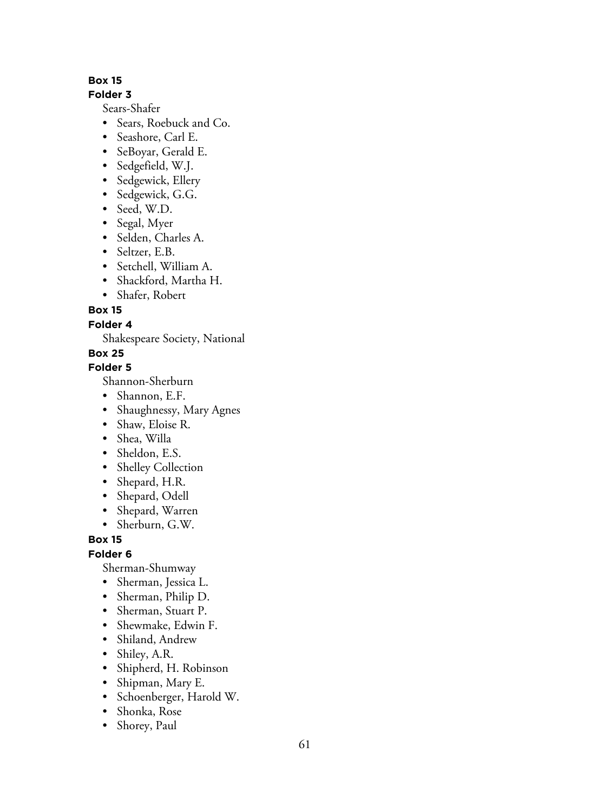## **Folder 3**

Sears-Shafer

- Sears, Roebuck and Co.
- Seashore, Carl E.
- SeBoyar, Gerald E.
- Sedgefield, W.J.
- Sedgewick, Ellery
- Sedgewick, G.G.
- Seed, W.D.
- Segal, Myer
- Selden, Charles A.
- Seltzer, E.B.
- Setchell, William A.
- Shackford, Martha H.
- Shafer, Robert

**Box 15**

# **Folder 4**

Shakespeare Society, National

# **Box 25**

**Folder 5**

Shannon-Sherburn

- Shannon, E.F.
- Shaughnessy, Mary Agnes
- Shaw, Eloise R.
- Shea, Willa
- Sheldon, E.S.
- Shelley Collection
- Shepard, H.R.
- Shepard, Odell
- Shepard, Warren
- Sherburn, G.W.

**Box 15**

**Folder 6**

Sherman-Shumway

- Sherman, Jessica L.
- Sherman, Philip D.
- Sherman, Stuart P.
- Shewmake, Edwin F.
- Shiland, Andrew
- Shiley, A.R.
- Shipherd, H. Robinson
- Shipman, Mary E.
- Schoenberger, Harold W.
- Shonka, Rose
- Shorey, Paul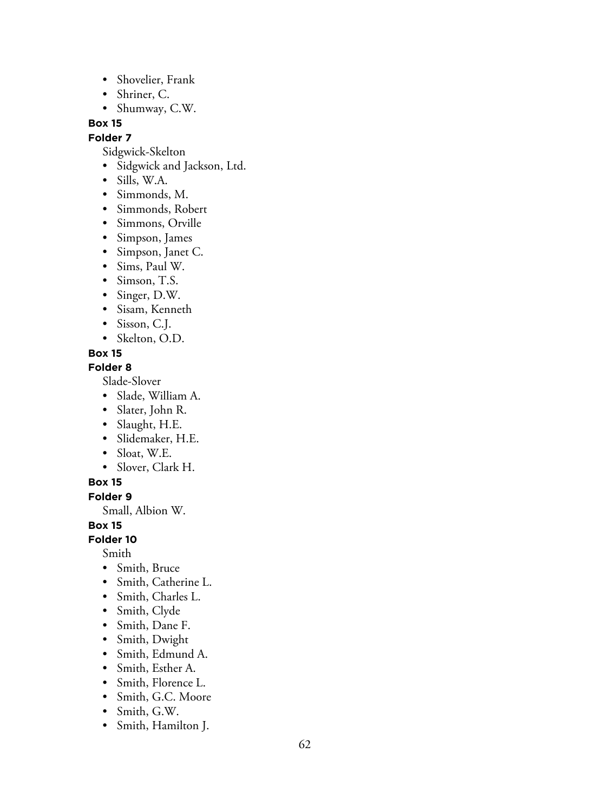- Shovelier, Frank
- Shriner, C.
- Shumway, C.W.

**Folder 7**

Sidgwick-Skelton

- Sidgwick and Jackson, Ltd.
- Sills, W.A.
- Simmonds, M.
- Simmonds, Robert
- Simmons, Orville
- Simpson, James
- Simpson, Janet C.
- Sims, Paul W.
- Simson, T.S.
- Singer, D.W.
- Sisam, Kenneth
- Sisson, C.J.
- Skelton, O.D.

## **Box 15**

#### **Folder 8**

Slade-Slover

- Slade, William A.
- Slater, John R.
- Slaught, H.E.
- Slidemaker, H.E.
- Sloat, W.E.
- Slover, Clark H.

#### **Box 15**

**Folder 9**

Small, Albion W.

**Box 15**

**Folder 10**

Smith

- Smith, Bruce
- Smith, Catherine L.
- Smith, Charles L.
- Smith, Clyde
- Smith, Dane F.
- Smith, Dwight
- Smith, Edmund A.
- Smith, Esther A.
- Smith, Florence L.
- Smith, G.C. Moore
- Smith, G.W.
- Smith, Hamilton J.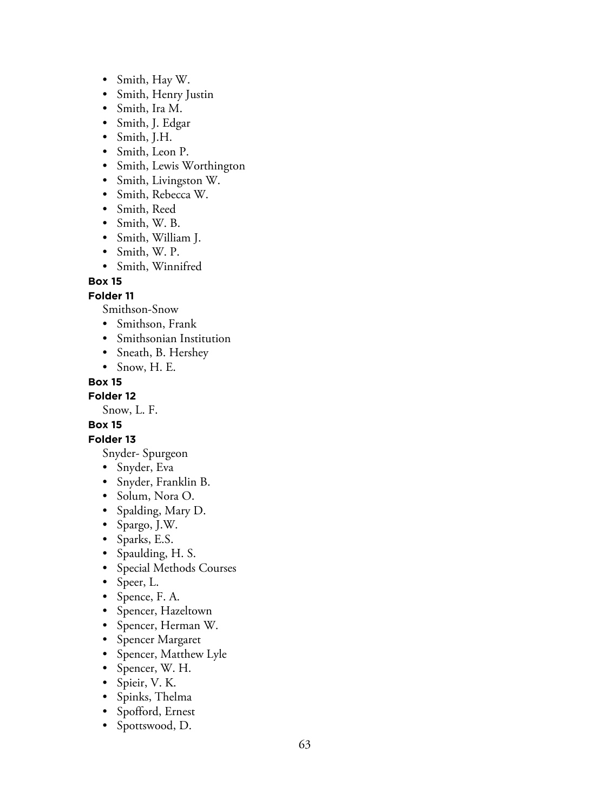- Smith, Hay W.
- Smith, Henry Justin
- Smith, Ira M.
- Smith, J. Edgar
- Smith, J.H.
- Smith, Leon P.
- Smith, Lewis Worthington
- Smith, Livingston W.
- Smith, Rebecca W.
- Smith, Reed
- Smith, W. B.
- Smith, William J.
- Smith, W. P.
- Smith, Winnifred

### **Folder 11**

Smithson-Snow

- Smithson, Frank
- Smithsonian Institution
- Sneath, B. Hershey
- Snow, H. E.

#### **Box 15**

**Folder 12**

Snow, L. F.

# **Box 15**

### **Folder 13**

Snyder- Spurgeon

- Snyder, Eva
- Snyder, Franklin B.
- Solum, Nora O.
- Spalding, Mary D.
- Spargo, J.W.
- Sparks, E.S.
- Spaulding, H. S.
- Special Methods Courses
- Speer, L.
- Spence, F. A.
- Spencer, Hazeltown
- Spencer, Herman W.
- Spencer Margaret
- Spencer, Matthew Lyle
- Spencer, W. H.
- Spieir, V. K.
- Spinks, Thelma
- Spofford, Ernest
- Spottswood, D.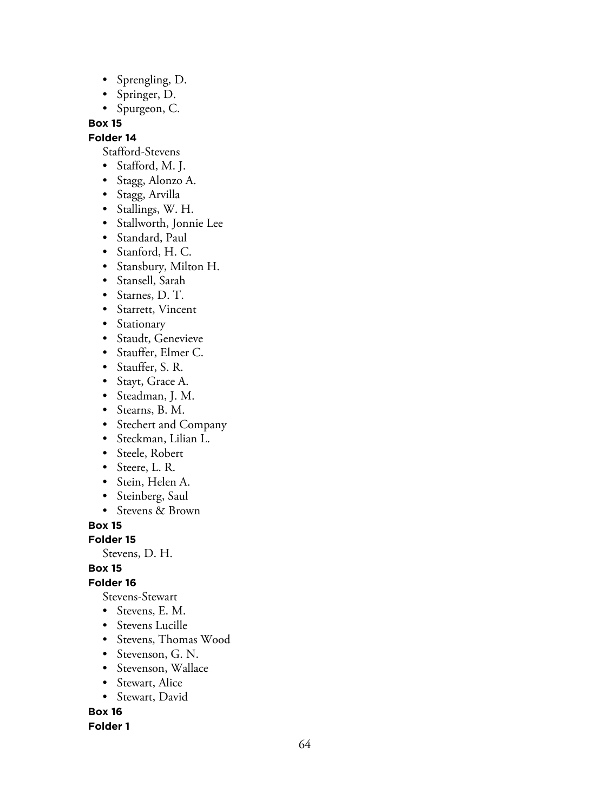- Sprengling, D.
- Springer, D.
- Spurgeon, C.

### **Folder 14**

Stafford-Stevens

- Stafford, M. J.
- Stagg, Alonzo A.
- Stagg, Arvilla
- Stallings, W. H.
- Stallworth, Jonnie Lee
- Standard, Paul
- Stanford, H. C.
- Stansbury, Milton H.
- Stansell, Sarah
- Starnes, D. T.
- Starrett, Vincent
- Stationary
- Staudt, Genevieve
- Stauffer, Elmer C.
- Stauffer, S. R.
- Stayt, Grace A.
- Steadman, J. M.
- Stearns, B. M.
- Stechert and Company
- Steckman, Lilian L.
- Steele, Robert
- Steere, L. R.
- Stein, Helen A.
- Steinberg, Saul
- Stevens & Brown

**Box 15**

**Folder 15**

Stevens, D. H.

**Box 15**

# **Folder 16**

Stevens-Stewart

- Stevens, E. M.
- Stevens Lucille
- Stevens, Thomas Wood
- Stevenson, G. N.
- Stevenson, Wallace
- Stewart, Alice
- Stewart, David

**Box 16**

### **Folder 1**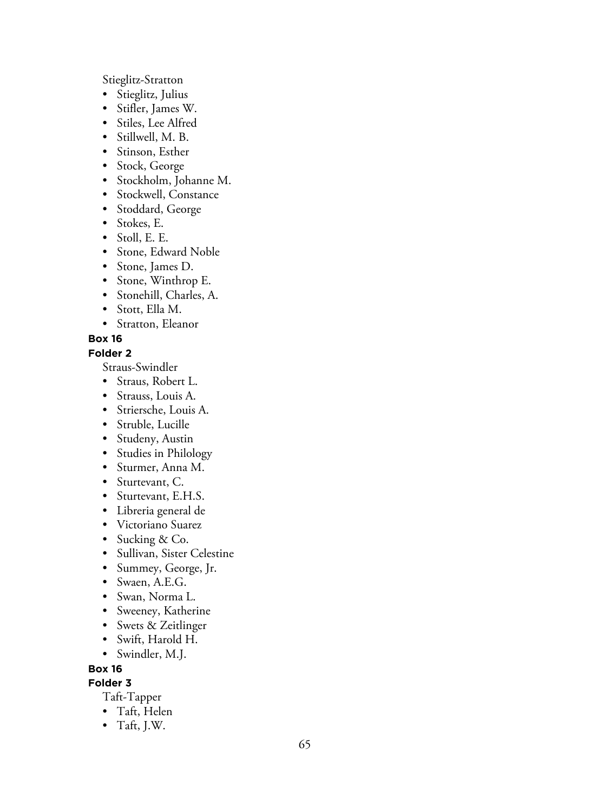Stieglitz-Stratton

- Stieglitz, Julius
- Stifler, James W.
- Stiles, Lee Alfred
- Stillwell, M. B.
- Stinson, Esther
- Stock, George
- Stockholm, Johanne M.
- Stockwell, Constance
- Stoddard, George
- Stokes, E.
- Stoll, E. E.
- Stone, Edward Noble
- Stone, James D.
- Stone, Winthrop E.
- Stonehill, Charles, A.
- Stott, Ella M.
- Stratton, Eleanor

## **Box 16**

#### **Folder 2**

Straus-Swindler

- Straus, Robert L.
- Strauss, Louis A.
- Striersche, Louis A.
- Struble, Lucille
- Studeny, Austin
- Studies in Philology
- Sturmer, Anna M.
- Sturtevant, C.
- Sturtevant, E.H.S.
- Libreria general de
- Victoriano Suarez
- Sucking & Co.
- Sullivan, Sister Celestine
- Summey, George, Jr.
- Swaen, A.E.G.
- Swan, Norma L.
- Sweeney, Katherine
- Swets & Zeitlinger
- Swift, Harold H.
- Swindler, M.J.

#### **Box 16**

**Folder 3**

Taft-Tapper

- Taft, Helen
- Taft, J.W.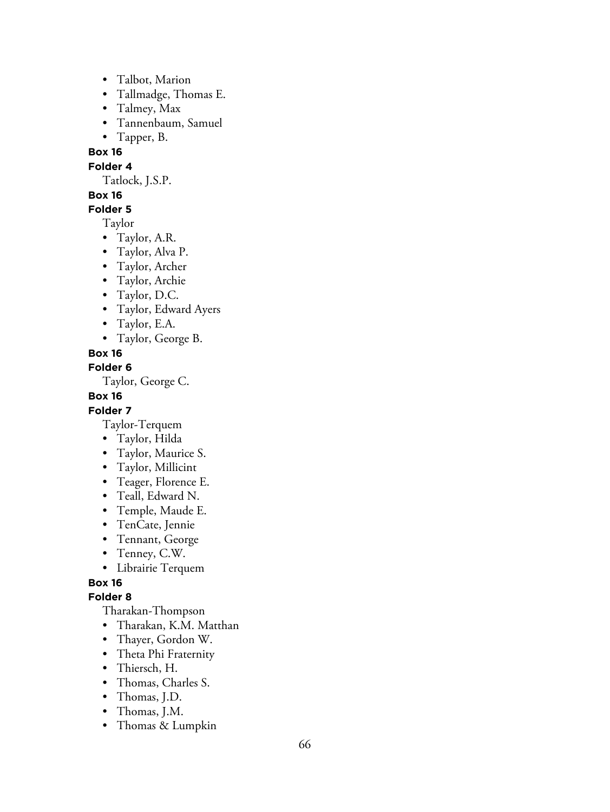- Talbot, Marion
- Tallmadge, Thomas E.
- Talmey, Max
- Tannenbaum, Samuel
- Tapper, B.

**Folder 4**

Tatlock, J.S.P.

### **Box 16**

**Folder 5**

Taylor

- Taylor, A.R.
- Taylor, Alva P.
- Taylor, Archer
- Taylor, Archie
- Taylor, D.C.
- Taylor, Edward Ayers
- Taylor, E.A.
- Taylor, George B.

### **Box 16**

**Folder 6**

Taylor, George C.

**Box 16**

### **Folder 7**

Taylor-Terquem

- Taylor, Hilda
- Taylor, Maurice S.
- Taylor, Millicint
- Teager, Florence E.
- Teall, Edward N.
- Temple, Maude E.
- TenCate, Jennie
- Tennant, George
- Tenney, C.W.
- Librairie Terquem

# **Box 16**

### **Folder 8**

Tharakan-Thompson

- Tharakan, K.M. Matthan
- Thayer, Gordon W.
- Theta Phi Fraternity
- Thiersch, H.
- Thomas, Charles S.
- Thomas, J.D.
- Thomas, J.M.
- Thomas & Lumpkin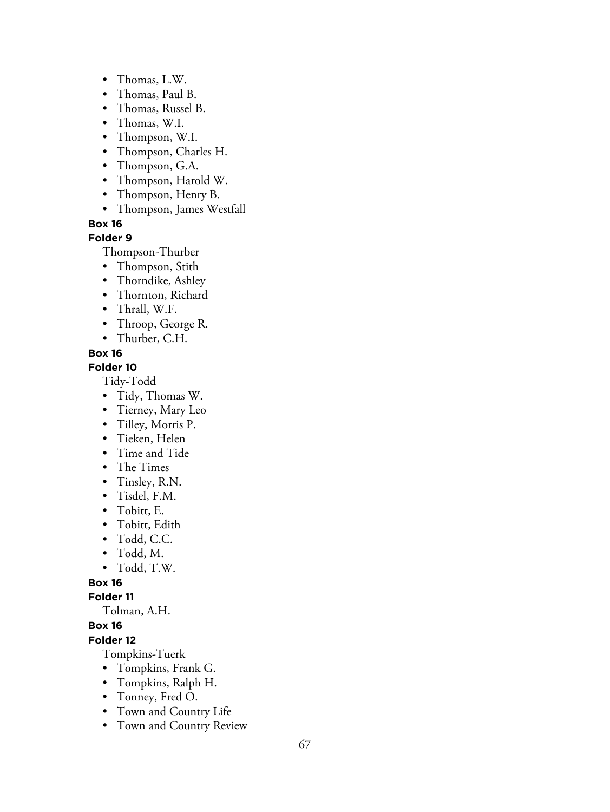- Thomas, L.W.
- Thomas, Paul B.
- Thomas, Russel B.
- Thomas, W.I.
- Thompson, W.I.
- Thompson, Charles H.
- Thompson, G.A.
- Thompson, Harold W.
- Thompson, Henry B.
- Thompson, James Westfall

#### **Folder 9**

Thompson-Thurber

- Thompson, Stith
- Thorndike, Ashley
- Thornton, Richard
- Thrall, W.F.
- Throop, George R.
- Thurber, C.H.

### **Box 16**

#### **Folder 10**

Tidy-Todd

- Tidy, Thomas W.
- Tierney, Mary Leo
- Tilley, Morris P.
- Tieken, Helen
- Time and Tide
- The Times
- Tinsley, R.N.
- Tisdel, F.M.
- Tobitt, E.
- Tobitt, Edith
- Todd, C.C.
- Todd, M.
- Todd, T.W.

#### **Box 16**

**Folder 11**

Tolman, A.H.

### **Box 16**

**Folder 12**

Tompkins-Tuerk

- Tompkins, Frank G.
- Tompkins, Ralph H.
- Tonney, Fred O.
- Town and Country Life
- Town and Country Review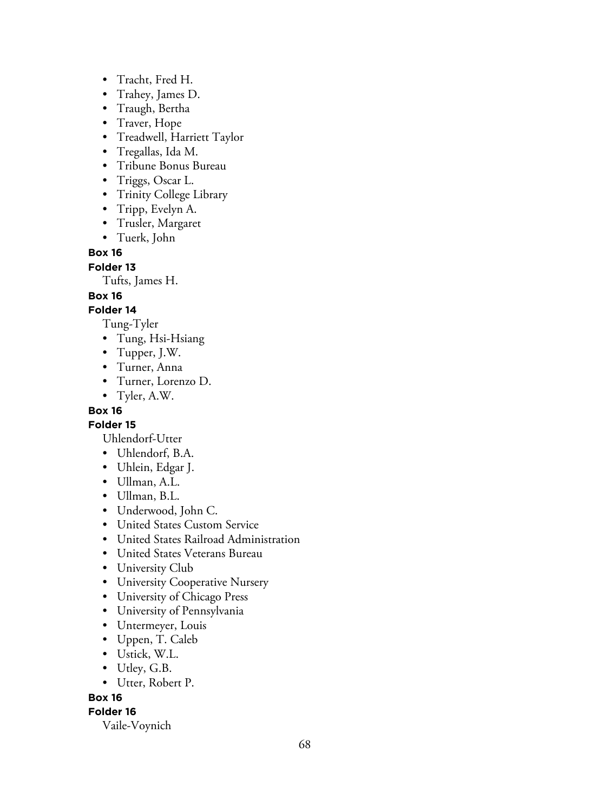- Tracht, Fred H.
- Trahey, James D.
- Traugh, Bertha
- Traver, Hope
- Treadwell, Harriett Taylor
- Tregallas, Ida M.
- Tribune Bonus Bureau
- Triggs, Oscar L.
- Trinity College Library
- Tripp, Evelyn A.
- Trusler, Margaret
- Tuerk, John

**Folder 13**

Tufts, James H.

**Box 16**

## **Folder 14**

Tung-Tyler

- Tung, Hsi-Hsiang
- Tupper, J.W.
- Turner, Anna
- Turner, Lorenzo D.
- Tyler, A.W.

## **Box 16**

### **Folder 15**

Uhlendorf-Utter

- Uhlendorf, B.A.
- Uhlein, Edgar J.
- Ullman, A.L.
- Ullman, B.L.
- Underwood, John C.
- United States Custom Service
- United States Railroad Administration
- United States Veterans Bureau
- University Club
- University Cooperative Nursery
- University of Chicago Press
- University of Pennsylvania
- Untermeyer, Louis
- Uppen, T. Caleb
- Ustick, W.L.
- Utley, G.B.
- Utter, Robert P.

### **Box 16**

# **Folder 16**

Vaile-Voynich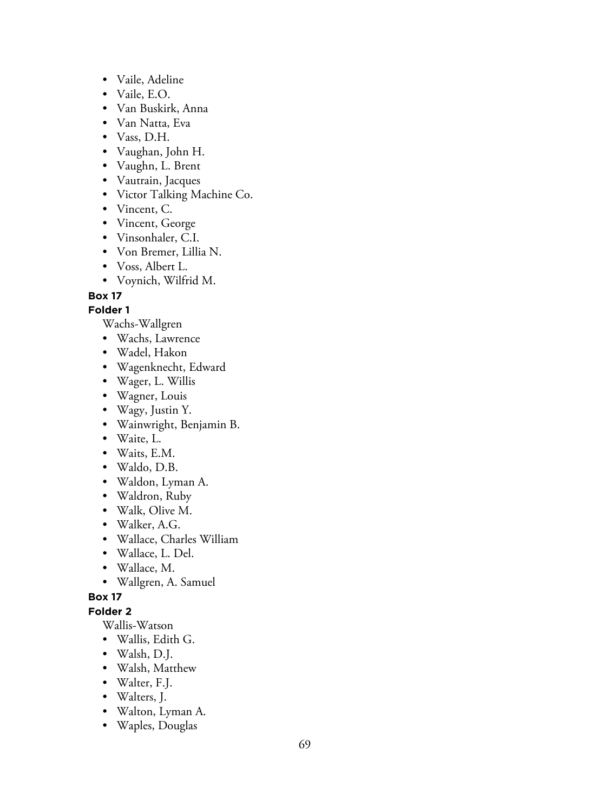- Vaile, Adeline
- Vaile, E.O.
- Van Buskirk, Anna
- Van Natta, Eva
- Vass, D.H.
- Vaughan, John H.
- Vaughn, L. Brent
- Vautrain, Jacques
- Victor Talking Machine Co.
- Vincent, C.
- Vincent, George
- Vinsonhaler, C.I.
- Von Bremer, Lillia N.
- Voss, Albert L.
- Voynich, Wilfrid M.

#### **Folder 1**

Wachs-Wallgren

- Wachs, Lawrence
- Wadel, Hakon
- Wagenknecht, Edward
- Wager, L. Willis
- Wagner, Louis
- Wagy, Justin Y.
- Wainwright, Benjamin B.
- Waite, L.
- Waits, E.M.
- Waldo, D.B.
- Waldon, Lyman A.
- Waldron, Ruby
- Walk, Olive M.
- Walker, A.G.
- Wallace, Charles William
- Wallace, L. Del.
- Wallace, M.
- Wallgren, A. Samuel

#### **Box 17**

### **Folder 2**

Wallis-Watson

- Wallis, Edith G.
- Walsh, D.J.
- Walsh, Matthew
- Walter, F.J.
- Walters, J.
- Walton, Lyman A.
- Waples, Douglas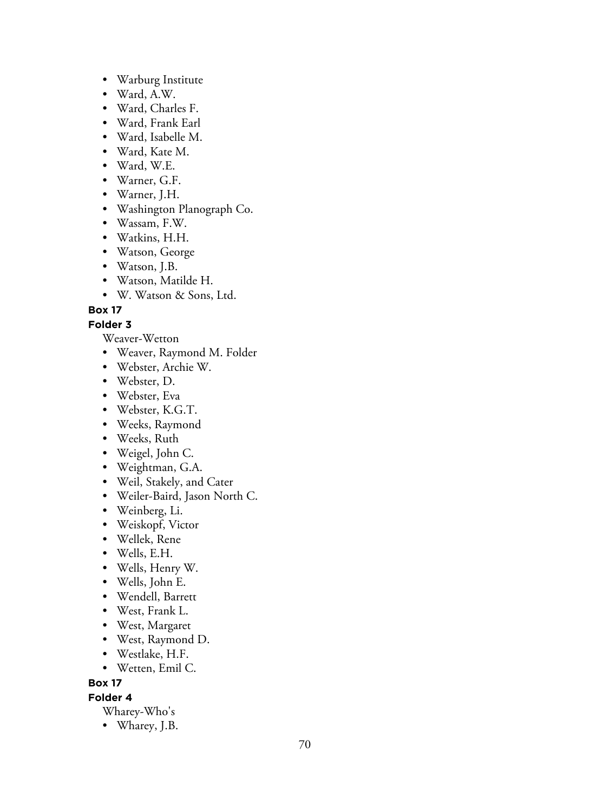- Warburg Institute
- Ward, A.W.
- Ward, Charles F.
- Ward, Frank Earl
- Ward, Isabelle M.
- Ward, Kate M.
- Ward, W.E.
- Warner, G.F.
- Warner, J.H.
- Washington Planograph Co.
- Wassam, F.W.
- Watkins, H.H.
- Watson, George
- Watson, J.B.
- Watson, Matilde H.
- W. Watson & Sons, Ltd.

#### **Folder 3**

Weaver-Wetton

- Weaver, Raymond M. Folder
- Webster, Archie W.
- Webster, D.
- Webster, Eva
- Webster, K.G.T.
- Weeks, Raymond
- Weeks, Ruth
- Weigel, John C.
- Weightman, G.A.
- Weil, Stakely, and Cater
- Weiler-Baird, Jason North C.
- Weinberg, Li.
- Weiskopf, Victor
- Wellek, Rene
- Wells, E.H.
- Wells, Henry W.
- Wells, John E.
- Wendell, Barrett
- West, Frank L.
- West, Margaret
- West, Raymond D.
- Westlake, H.F.
- Wetten, Emil C.

## **Box 17**

**Folder 4**

- Wharey-Who's
- Wharey, J.B.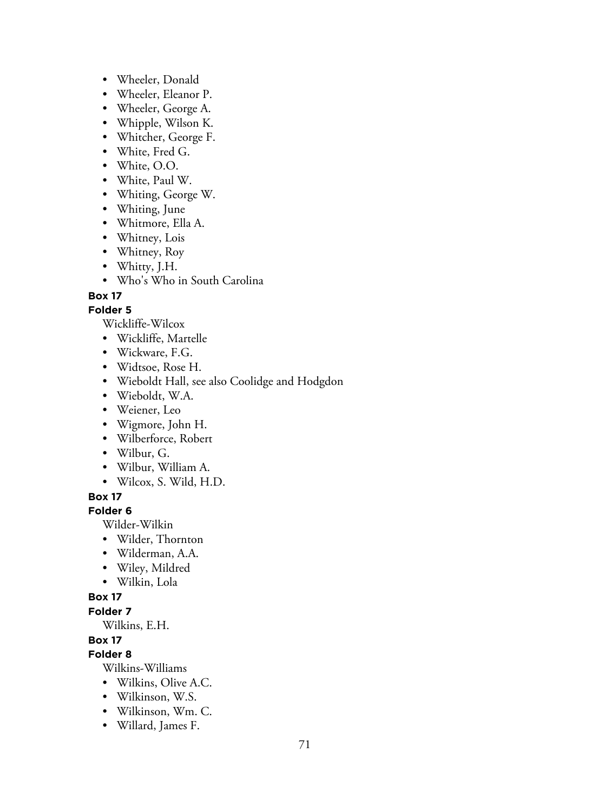- Wheeler, Donald
- Wheeler, Eleanor P.
- Wheeler, George A.
- Whipple, Wilson K.
- Whitcher, George F.
- White, Fred G.
- White, O.O.
- White, Paul W.
- Whiting, George W.
- Whiting, June
- Whitmore, Ella A.
- Whitney, Lois
- Whitney, Roy
- Whitty, J.H.
- Who's Who in South Carolina

#### **Folder 5**

Wickliffe-Wilcox

- Wickliffe, Martelle
- Wickware, F.G.
- Widtsoe, Rose H.
- Wieboldt Hall, see also Coolidge and Hodgdon
- Wieboldt, W.A.
- Weiener, Leo
- Wigmore, John H.
- Wilberforce, Robert
- Wilbur, G.
- Wilbur, William A.
- Wilcox, S. Wild, H.D.

#### **Box 17**

#### **Folder 6**

Wilder-Wilkin

- Wilder, Thornton
- Wilderman, A.A.
- Wiley, Mildred
- Wilkin, Lola

#### **Box 17**

#### **Folder 7**

Wilkins, E.H.

#### **Box 17**

**Folder 8**

Wilkins-Williams

- Wilkins, Olive A.C.
- Wilkinson, W.S.
- Wilkinson, Wm. C.
- Willard, James F.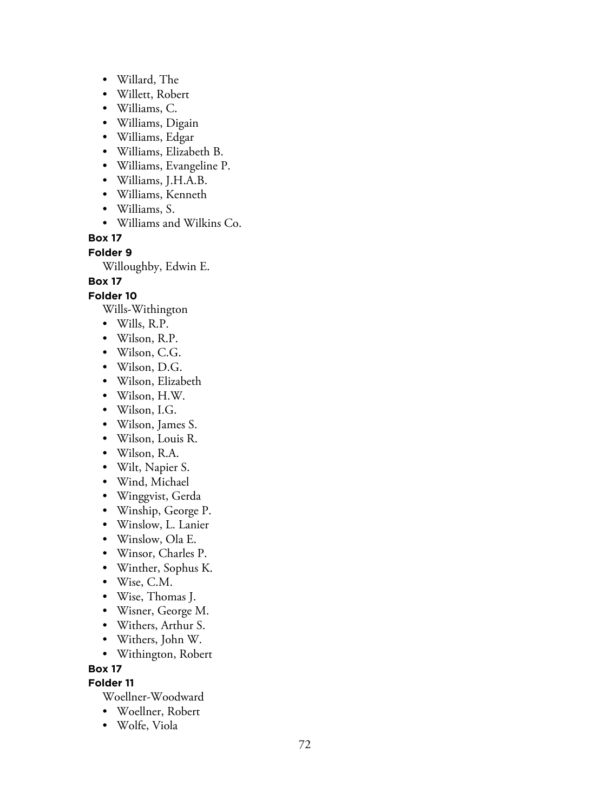- Willard, The
- Willett, Robert
- Williams, C.
- Williams, Digain
- Williams, Edgar
- Williams, Elizabeth B.
- Williams, Evangeline P.
- Williams, J.H.A.B.
- Williams, Kenneth
- Williams, S.
- Williams and Wilkins Co.

**Folder 9**

Willoughby, Edwin E.

## **Box 17**

**Folder 10**

Wills-Withington

- Wills, R.P.
- Wilson, R.P.
- Wilson, C.G.
- Wilson, D.G.
- Wilson, Elizabeth
- Wilson, H.W.
- Wilson, I.G.
- Wilson, James S.
- Wilson, Louis R.
- Wilson, R.A.
- Wilt, Napier S.
- Wind, Michael
- Winggvist, Gerda
- Winship, George P.
- Winslow, L. Lanier
- Winslow, Ola E.
- Winsor, Charles P.
- Winther, Sophus K.
- Wise, C.M.
- Wise, Thomas J.
- Wisner, George M.
- Withers, Arthur S.
- Withers, John W.
- Withington, Robert

#### **Box 17**

**Folder 11**

Woellner-Woodward

- Woellner, Robert
- Wolfe, Viola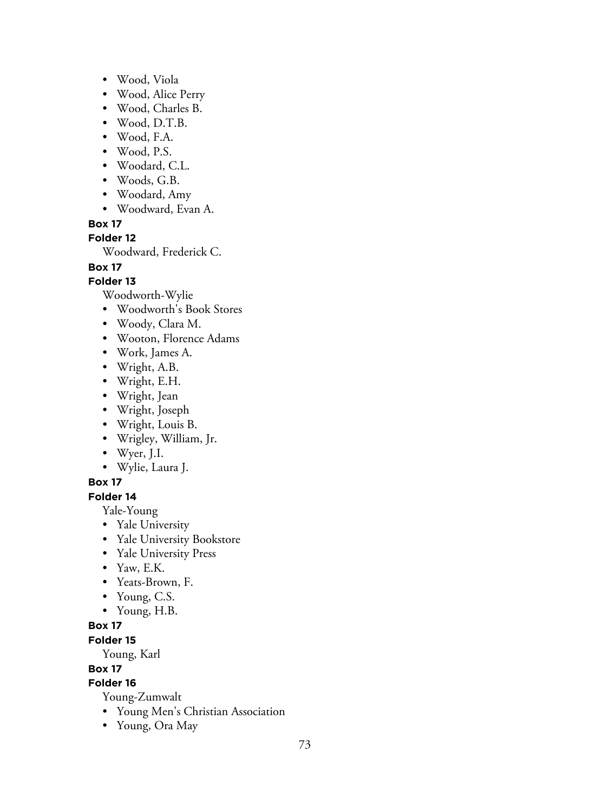- Wood, Viola
- Wood, Alice Perry
- Wood, Charles B.
- Wood, D.T.B.
- Wood, F.A.
- Wood, P.S.
- Woodard, C.L.
- Woods, G.B.
- Woodard, Amy
- Woodward, Evan A.

**Box 17**

**Folder 12**

Woodward, Frederick C.

# **Box 17**

### **Folder 13**

Woodworth-Wylie

- Woodworth's Book Stores
- Woody, Clara M.
- Wooton, Florence Adams
- Work, James A.
- Wright, A.B.
- Wright, E.H.
- Wright, Jean
- Wright, Joseph
- Wright, Louis B.
- Wrigley, William, Jr.
- Wyer, J.I.
- Wylie, Laura J.

#### **Box 17**

### **Folder 14**

Yale-Young

- Yale University
- Yale University Bookstore
- Yale University Press
- Yaw, E.K.
- Yeats-Brown, F.
- Young, C.S.
- Young, H.B.

# **Box 17**

**Folder 15**

Young, Karl

#### **Box 17**

# **Folder 16**

Young-Zumwalt

- Young Men's Christian Association
- Young, Ora May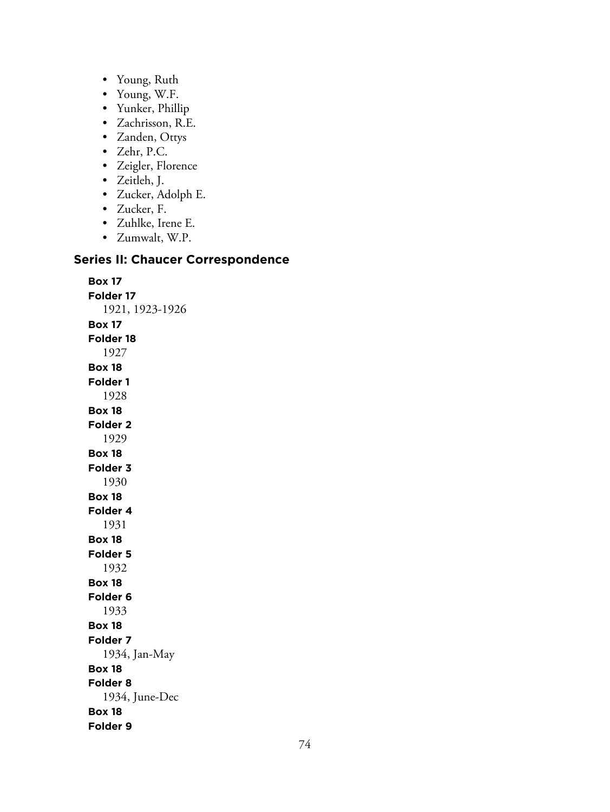- Young, Ruth
- Young, W.F.
- Yunker, Phillip
- Zachrisson, R.E.
- Zanden, Ottys
- Zehr, P.C.
- Zeigler, Florence
- Zeitleh, J.
- Zucker, Adolph E.
- Zucker, F.
- Zuhlke, Irene E.
- Zumwalt, W.P.

## **Series II: Chaucer Correspondence**

**Box 17 Folder 17** 1921, 1923-1926 **Box 17 Folder 18** 1927 **Box 18 Folder 1** 1928 **Box 18 Folder 2** 1929 **Box 18 Folder 3** 1930 **Box 18 Folder 4** 1931 **Box 18 Folder 5** 1932 **Box 18 Folder 6** 1933 **Box 18 Folder 7** 1934, Jan-May **Box 18 Folder 8** 1934, June-Dec **Box 18 Folder 9**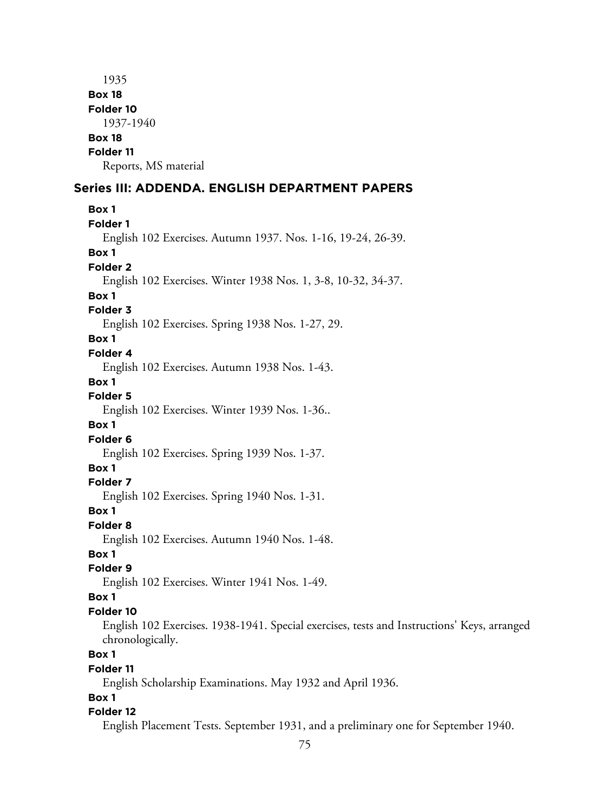1935 **Box 18 Folder 10** 1937-1940 **Box 18 Folder 11** Reports, MS material **Series III: ADDENDA. ENGLISH DEPARTMENT PAPERS Box 1 Folder 1** English 102 Exercises. Autumn 1937. Nos. 1-16, 19-24, 26-39. **Box 1 Folder 2** English 102 Exercises. Winter 1938 Nos. 1, 3-8, 10-32, 34-37. **Box 1 Folder 3** English 102 Exercises. Spring 1938 Nos. 1-27, 29. **Box 1 Folder 4** English 102 Exercises. Autumn 1938 Nos. 1-43. **Box 1 Folder 5** English 102 Exercises. Winter 1939 Nos. 1-36.. **Box 1 Folder 6** English 102 Exercises. Spring 1939 Nos. 1-37. **Box 1 Folder 7** English 102 Exercises. Spring 1940 Nos. 1-31. **Box 1 Folder 8** English 102 Exercises. Autumn 1940 Nos. 1-48. **Box 1 Folder 9** English 102 Exercises. Winter 1941 Nos. 1-49. **Box 1 Folder 10** English 102 Exercises. 1938-1941. Special exercises, tests and Instructions' Keys, arranged chronologically. **Box 1 Folder 11** English Scholarship Examinations. May 1932 and April 1936. **Box 1 Folder 12** English Placement Tests. September 1931, and a preliminary one for September 1940.